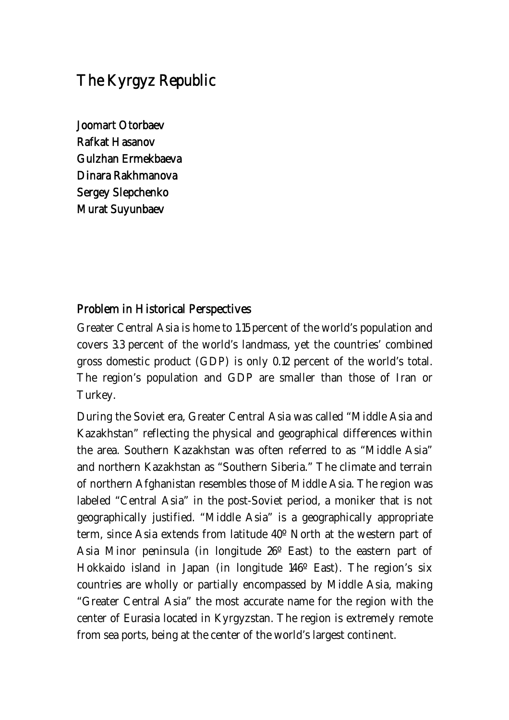# The Kyrgyz Republic

Joomart Otorbaev Rafkat Hasanov Gulzhan Ermekbaeva Dinara Rakhmanova Sergey Slepchenko Murat Suyunbaev

#### Problem in Historical Perspectives

Greater Central Asia is home to 1.15 percent of the world's population and covers 3.3 percent of the world's landmass, yet the countries' combined gross domestic product (GDP) is only 0.12 percent of the world's total. The region's population and GDP are smaller than those of Iran or Turkey.

During the Soviet era, Greater Central Asia was called "Middle Asia and Kazakhstan" reflecting the physical and geographical differences within the area. Southern Kazakhstan was often referred to as "Middle Asia" and northern Kazakhstan as "Southern Siberia." The climate and terrain of northern Afghanistan resembles those of Middle Asia. The region was labeled "Central Asia" in the post-Soviet period, a moniker that is not geographically justified. "Middle Asia" is a geographically appropriate term, since Asia extends from latitude 40º North at the western part of Asia Minor peninsula (in longitude 26º East) to the eastern part of Hokkaido island in Japan (in longitude 146º East). The region's six countries are wholly or partially encompassed by Middle Asia, making "Greater Central Asia" the most accurate name for the region with the center of Eurasia located in Kyrgyzstan. The region is extremely remote from sea ports, being at the center of the world's largest continent.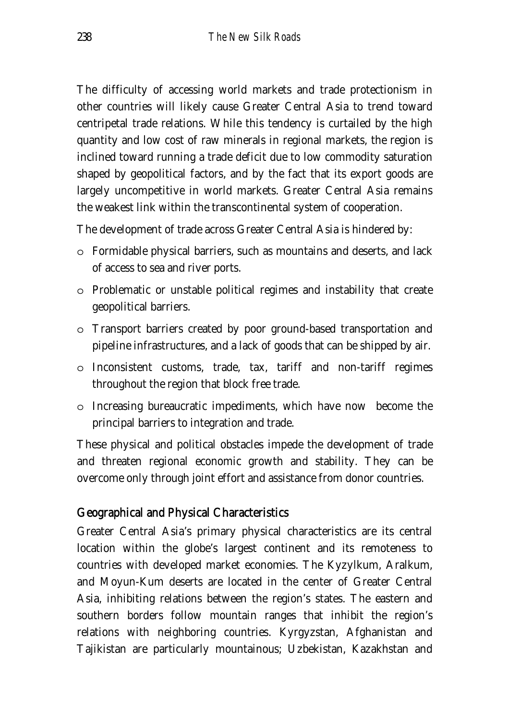The difficulty of accessing world markets and trade protectionism in other countries will likely cause Greater Central Asia to trend toward centripetal trade relations. While this tendency is curtailed by the high quantity and low cost of raw minerals in regional markets, the region is inclined toward running a trade deficit due to low commodity saturation shaped by geopolitical factors, and by the fact that its export goods are largely uncompetitive in world markets. Greater Central Asia remains the weakest link within the transcontinental system of cooperation.

The development of trade across Greater Central Asia is hindered by:

- o Formidable physical barriers, such as mountains and deserts, and lack of access to sea and river ports.
- o Problematic or unstable political regimes and instability that create geopolitical barriers.
- o Transport barriers created by poor ground-based transportation and pipeline infrastructures, and a lack of goods that can be shipped by air.
- o Inconsistent customs, trade, tax, tariff and non-tariff regimes throughout the region that block free trade.
- o Increasing bureaucratic impediments, which have now become the principal barriers to integration and trade.

These physical and political obstacles impede the development of trade and threaten regional economic growth and stability. They can be overcome only through joint effort and assistance from donor countries.

# Geographical and Physical Characteristics

Greater Central Asia's primary physical characteristics are its central location within the globe's largest continent and its remoteness to countries with developed market economies. The Kyzylkum, Aralkum, and Moyun-Kum deserts are located in the center of Greater Central Asia, inhibiting relations between the region's states. The eastern and southern borders follow mountain ranges that inhibit the region's relations with neighboring countries. Kyrgyzstan, Afghanistan and Tajikistan are particularly mountainous; Uzbekistan, Kazakhstan and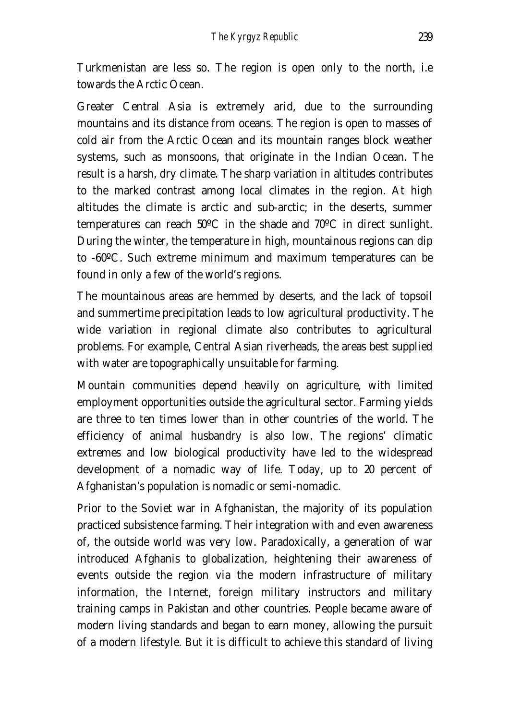Turkmenistan are less so. The region is open only to the north, i.e towards the Arctic Ocean.

Greater Central Asia is extremely arid, due to the surrounding mountains and its distance from oceans. The region is open to masses of cold air from the Arctic Ocean and its mountain ranges block weather systems, such as monsoons, that originate in the Indian Ocean. The result is a harsh, dry climate. The sharp variation in altitudes contributes to the marked contrast among local climates in the region. At high altitudes the climate is arctic and sub-arctic; in the deserts, summer temperatures can reach 50ºC in the shade and 70ºC in direct sunlight. During the winter, the temperature in high, mountainous regions can dip to -60ºC. Such extreme minimum and maximum temperatures can be found in only a few of the world's regions.

The mountainous areas are hemmed by deserts, and the lack of topsoil and summertime precipitation leads to low agricultural productivity. The wide variation in regional climate also contributes to agricultural problems. For example, Central Asian riverheads, the areas best supplied with water are topographically unsuitable for farming.

Mountain communities depend heavily on agriculture, with limited employment opportunities outside the agricultural sector. Farming yields are three to ten times lower than in other countries of the world. The efficiency of animal husbandry is also low. The regions' climatic extremes and low biological productivity have led to the widespread development of a nomadic way of life. Today, up to 20 percent of Afghanistan's population is nomadic or semi-nomadic.

Prior to the Soviet war in Afghanistan, the majority of its population practiced subsistence farming. Their integration with and even awareness of, the outside world was very low. Paradoxically, a generation of war introduced Afghanis to globalization, heightening their awareness of events outside the region via the modern infrastructure of military information, the Internet, foreign military instructors and military training camps in Pakistan and other countries. People became aware of modern living standards and began to earn money, allowing the pursuit of a modern lifestyle. But it is difficult to achieve this standard of living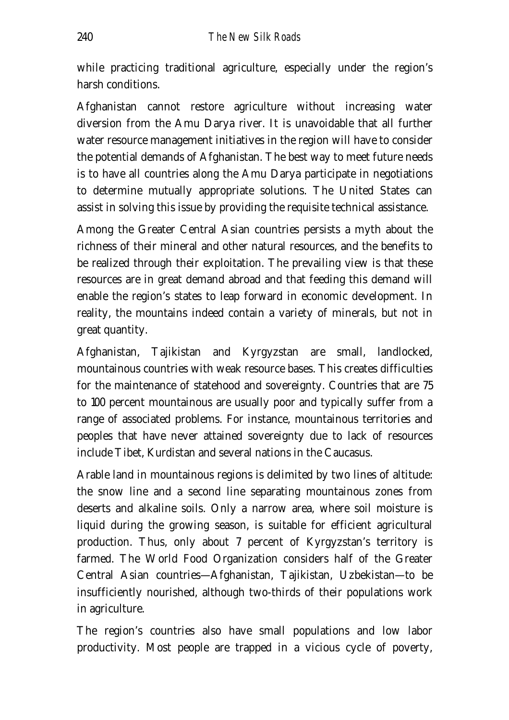while practicing traditional agriculture, especially under the region's harsh conditions.

Afghanistan cannot restore agriculture without increasing water diversion from the Amu Darya river. It is unavoidable that all further water resource management initiatives in the region will have to consider the potential demands of Afghanistan. The best way to meet future needs is to have all countries along the Amu Darya participate in negotiations to determine mutually appropriate solutions. The United States can assist in solving this issue by providing the requisite technical assistance.

Among the Greater Central Asian countries persists a myth about the richness of their mineral and other natural resources, and the benefits to be realized through their exploitation. The prevailing view is that these resources are in great demand abroad and that feeding this demand will enable the region's states to leap forward in economic development. In reality, the mountains indeed contain a variety of minerals, but not in great quantity.

Afghanistan, Tajikistan and Kyrgyzstan are small, landlocked, mountainous countries with weak resource bases. This creates difficulties for the maintenance of statehood and sovereignty. Countries that are 75 to 100 percent mountainous are usually poor and typically suffer from a range of associated problems. For instance, mountainous territories and peoples that have never attained sovereignty due to lack of resources include Tibet, Kurdistan and several nations in the Caucasus.

Arable land in mountainous regions is delimited by two lines of altitude: the snow line and a second line separating mountainous zones from deserts and alkaline soils. Only a narrow area, where soil moisture is liquid during the growing season, is suitable for efficient agricultural production. Thus, only about 7 percent of Kyrgyzstan's territory is farmed. The World Food Organization considers half of the Greater Central Asian countries—Afghanistan, Tajikistan, Uzbekistan—to be insufficiently nourished, although two-thirds of their populations work in agriculture.

The region's countries also have small populations and low labor productivity. Most people are trapped in a vicious cycle of poverty,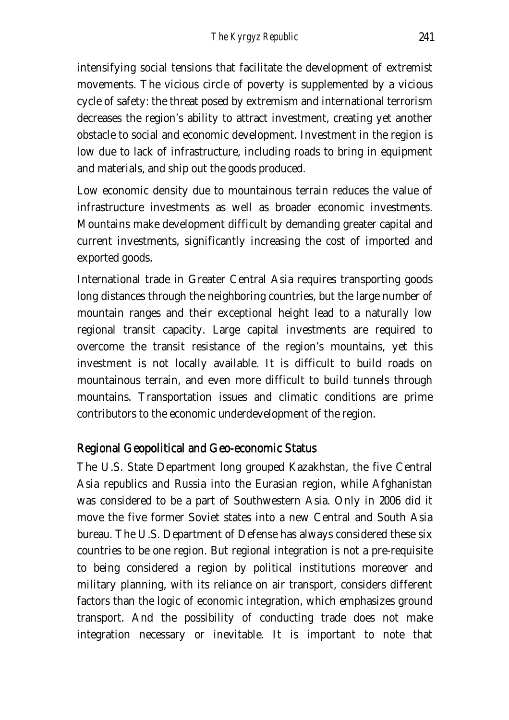intensifying social tensions that facilitate the development of extremist movements. The vicious circle of poverty is supplemented by a vicious cycle of safety: the threat posed by extremism and international terrorism decreases the region's ability to attract investment, creating yet another obstacle to social and economic development. Investment in the region is low due to lack of infrastructure, including roads to bring in equipment and materials, and ship out the goods produced.

Low economic density due to mountainous terrain reduces the value of infrastructure investments as well as broader economic investments. Mountains make development difficult by demanding greater capital and current investments, significantly increasing the cost of imported and exported goods.

International trade in Greater Central Asia requires transporting goods long distances through the neighboring countries, but the large number of mountain ranges and their exceptional height lead to a naturally low regional transit capacity. Large capital investments are required to overcome the transit resistance of the region's mountains, yet this investment is not locally available. It is difficult to build roads on mountainous terrain, and even more difficult to build tunnels through mountains. Transportation issues and climatic conditions are prime contributors to the economic underdevelopment of the region.

# Regional Geopolitical and Geo-economic Status

The U.S. State Department long grouped Kazakhstan, the five Central Asia republics and Russia into the Eurasian region, while Afghanistan was considered to be a part of Southwestern Asia. Only in 2006 did it move the five former Soviet states into a new Central and South Asia bureau. The U.S. Department of Defense has always considered these six countries to be one region. But regional integration is not a pre-requisite to being considered a region by political institutions moreover and military planning, with its reliance on air transport, considers different factors than the logic of economic integration, which emphasizes ground transport. And the possibility of conducting trade does not make integration necessary or inevitable. It is important to note that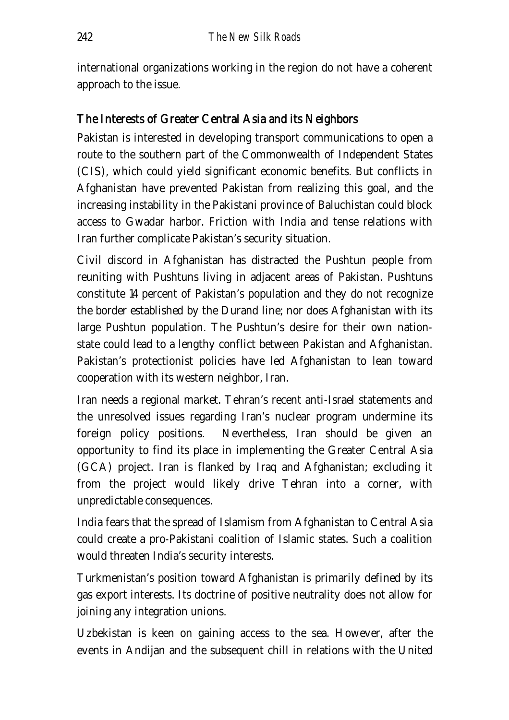international organizations working in the region do not have a coherent approach to the issue.

# The Interests of Greater Central Asia and its Neighbors

Pakistan is interested in developing transport communications to open a route to the southern part of the Commonwealth of Independent States (CIS), which could yield significant economic benefits. But conflicts in Afghanistan have prevented Pakistan from realizing this goal, and the increasing instability in the Pakistani province of Baluchistan could block access to Gwadar harbor. Friction with India and tense relations with Iran further complicate Pakistan's security situation.

Civil discord in Afghanistan has distracted the Pushtun people from reuniting with Pushtuns living in adjacent areas of Pakistan. Pushtuns constitute 14 percent of Pakistan's population and they do not recognize the border established by the Durand line; nor does Afghanistan with its large Pushtun population. The Pushtun's desire for their own nationstate could lead to a lengthy conflict between Pakistan and Afghanistan. Pakistan's protectionist policies have led Afghanistan to lean toward cooperation with its western neighbor, Iran.

Iran needs a regional market. Tehran's recent anti-Israel statements and the unresolved issues regarding Iran's nuclear program undermine its foreign policy positions. Nevertheless, Iran should be given an opportunity to find its place in implementing the Greater Central Asia (GCA) project. Iran is flanked by Iraq and Afghanistan; excluding it from the project would likely drive Tehran into a corner, with unpredictable consequences.

India fears that the spread of Islamism from Afghanistan to Central Asia could create a pro-Pakistani coalition of Islamic states. Such a coalition would threaten India's security interests.

Turkmenistan's position toward Afghanistan is primarily defined by its gas export interests. Its doctrine of positive neutrality does not allow for joining any integration unions.

Uzbekistan is keen on gaining access to the sea. However, after the events in Andijan and the subsequent chill in relations with the United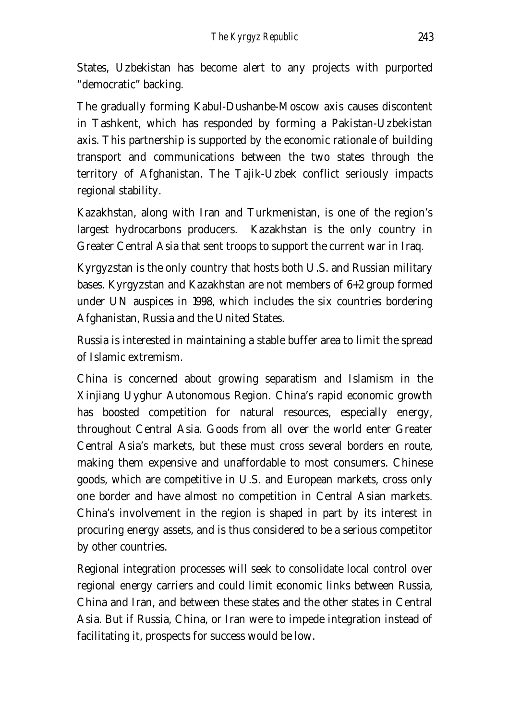States, Uzbekistan has become alert to any projects with purported "democratic" backing.

The gradually forming Kabul-Dushanbe-Moscow axis causes discontent in Tashkent, which has responded by forming a Pakistan-Uzbekistan axis. This partnership is supported by the economic rationale of building transport and communications between the two states through the territory of Afghanistan. The Tajik-Uzbek conflict seriously impacts regional stability.

Kazakhstan, along with Iran and Turkmenistan, is one of the region's largest hydrocarbons producers. Kazakhstan is the only country in Greater Central Asia that sent troops to support the current war in Iraq.

Kyrgyzstan is the only country that hosts both U.S. and Russian military bases. Kyrgyzstan and Kazakhstan are not members of 6+2 group formed under UN auspices in 1998, which includes the six countries bordering Afghanistan, Russia and the United States.

Russia is interested in maintaining a stable buffer area to limit the spread of Islamic extremism.

China is concerned about growing separatism and Islamism in the Xinjiang Uyghur Autonomous Region. China's rapid economic growth has boosted competition for natural resources, especially energy, throughout Central Asia. Goods from all over the world enter Greater Central Asia's markets, but these must cross several borders en route, making them expensive and unaffordable to most consumers. Chinese goods, which are competitive in U.S. and European markets, cross only one border and have almost no competition in Central Asian markets. China's involvement in the region is shaped in part by its interest in procuring energy assets, and is thus considered to be a serious competitor by other countries.

Regional integration processes will seek to consolidate local control over regional energy carriers and could limit economic links between Russia, China and Iran, and between these states and the other states in Central Asia. But if Russia, China, or Iran were to impede integration instead of facilitating it, prospects for success would be low.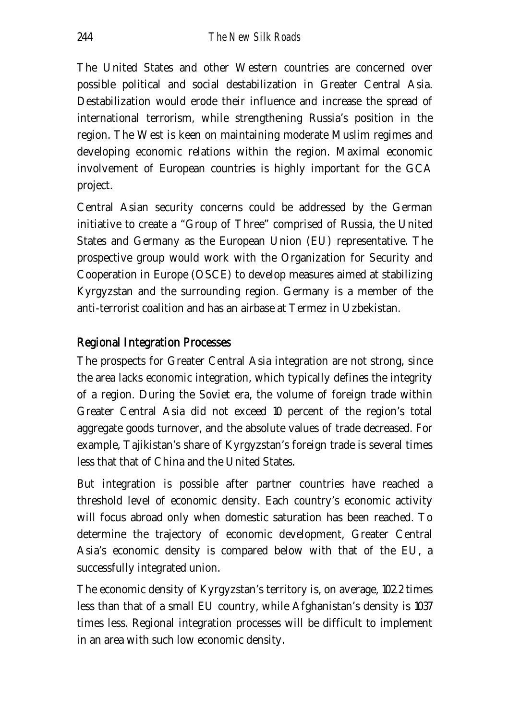The United States and other Western countries are concerned over possible political and social destabilization in Greater Central Asia. Destabilization would erode their influence and increase the spread of international terrorism, while strengthening Russia's position in the region. The West is keen on maintaining moderate Muslim regimes and developing economic relations within the region. Maximal economic involvement of European countries is highly important for the GCA project.

Central Asian security concerns could be addressed by the German initiative to create a "Group of Three" comprised of Russia, the United States and Germany as the European Union (EU) representative. The prospective group would work with the Organization for Security and Cooperation in Europe (OSCE) to develop measures aimed at stabilizing Kyrgyzstan and the surrounding region. Germany is a member of the anti-terrorist coalition and has an airbase at Termez in Uzbekistan.

# Regional Integration Processes

The prospects for Greater Central Asia integration are not strong, since the area lacks economic integration, which typically defines the integrity of a region. During the Soviet era, the volume of foreign trade within Greater Central Asia did not exceed 10 percent of the region's total aggregate goods turnover, and the absolute values of trade decreased. For example, Tajikistan's share of Kyrgyzstan's foreign trade is several times less that that of China and the United States.

But integration is possible after partner countries have reached a threshold level of economic density. Each country's economic activity will focus abroad only when domestic saturation has been reached. To determine the trajectory of economic development, Greater Central Asia's economic density is compared below with that of the EU, a successfully integrated union.

The economic density of Kyrgyzstan's territory is, on average, 102.2 times less than that of a small EU country, while Afghanistan's density is 1037 times less. Regional integration processes will be difficult to implement in an area with such low economic density.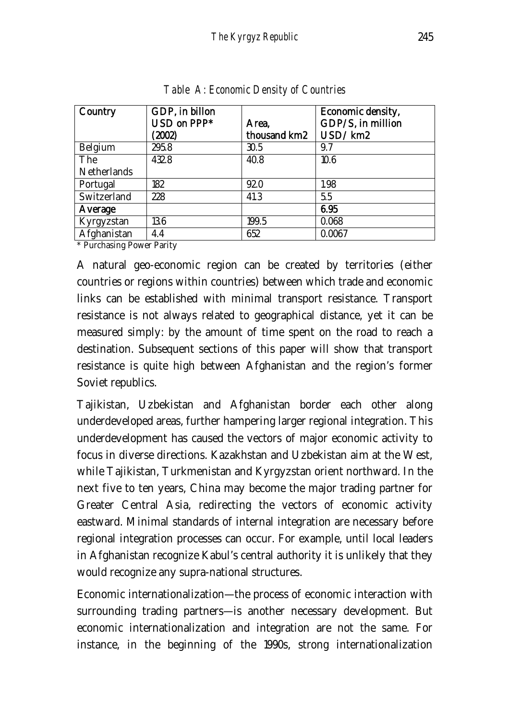| Country        | GDP, in billon |              | Economic density, |
|----------------|----------------|--------------|-------------------|
|                | USD on PPP*    | Area,        | GDP/S, in million |
|                | (2002)         | thousand km2 | USD/km2           |
| <b>Belgium</b> | 295.8          | 30.5         | 9.7               |
| The            | 432.8          | 40.8         | 10.6              |
| Netherlands    |                |              |                   |
| Portugal       | 182            | 92.0         | 1.98              |
| Switzerland    | 228            | 41.3         | 5.5               |
| Average        |                |              | 6.95              |
| Kyrgyzstan     | 13.6           | 199.5        | 0.068             |
| Afghanistan    | 4.4            | 652          | 0.0067            |

*Table A: Economic Density of Countries* 

\* Purchasing Power Parity

A natural geo-economic region can be created by territories (either countries or regions within countries) between which trade and economic links can be established with minimal transport resistance. Transport resistance is not always related to geographical distance, yet it can be measured simply: by the amount of time spent on the road to reach a destination. Subsequent sections of this paper will show that transport resistance is quite high between Afghanistan and the region's former Soviet republics.

Tajikistan, Uzbekistan and Afghanistan border each other along underdeveloped areas, further hampering larger regional integration. This underdevelopment has caused the vectors of major economic activity to focus in diverse directions. Kazakhstan and Uzbekistan aim at the West, while Tajikistan, Turkmenistan and Kyrgyzstan orient northward. In the next five to ten years, China may become the major trading partner for Greater Central Asia, redirecting the vectors of economic activity eastward. Minimal standards of internal integration are necessary before regional integration processes can occur. For example, until local leaders in Afghanistan recognize Kabul's central authority it is unlikely that they would recognize any supra-national structures.

Economic internationalization—the process of economic interaction with surrounding trading partners—is another necessary development. But economic internationalization and integration are not the same. For instance, in the beginning of the 1990s, strong internationalization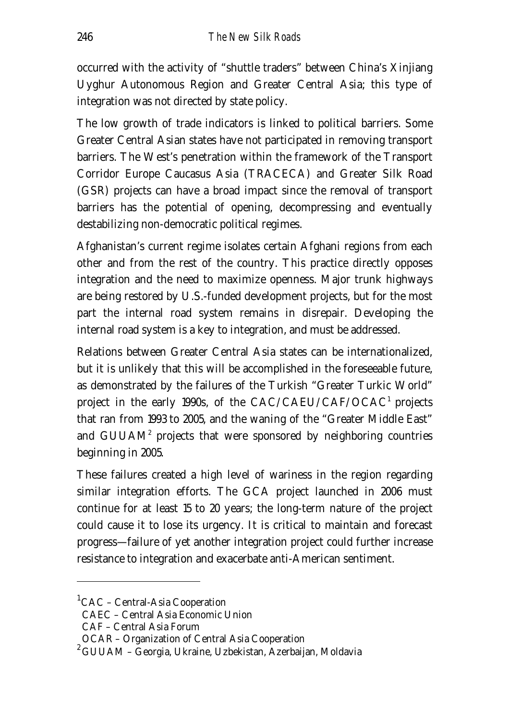occurred with the activity of "shuttle traders" between China's Xinjiang Uyghur Autonomous Region and Greater Central Asia; this type of integration was not directed by state policy.

The low growth of trade indicators is linked to political barriers. Some Greater Central Asian states have not participated in removing transport barriers. The West's penetration within the framework of the Transport Corridor Europe Caucasus Asia (TRACECA) and Greater Silk Road (GSR) projects can have a broad impact since the removal of transport barriers has the potential of opening, decompressing and eventually destabilizing non-democratic political regimes.

Afghanistan's current regime isolates certain Afghani regions from each other and from the rest of the country. This practice directly opposes integration and the need to maximize openness. Major trunk highways are being restored by U.S.-funded development projects, but for the most part the internal road system remains in disrepair. Developing the internal road system is a key to integration, and must be addressed.

Relations between Greater Central Asia states can be internationalized, but it is unlikely that this will be accomplished in the foreseeable future, as demonstrated by the failures of the Turkish "Greater Turkic World" project in the early 1990s, of the CAC/CAEU/CAF/OCAC<sup>1</sup> projects that ran from 1993 to 2005, and the waning of the "Greater Middle East" and GUUAM<sup>2</sup> projects that were sponsored by neighboring countries beginning in 2005.

These failures created a high level of wariness in the region regarding similar integration efforts. The GCA project launched in 2006 must continue for at least 15 to 20 years; the long-term nature of the project could cause it to lose its urgency. It is critical to maintain and forecast progress—failure of yet another integration project could further increase resistance to integration and exacerbate anti-American sentiment.

 $\overline{a}$ 

<sup>&</sup>lt;sup>1</sup> CAC – Central-Asia Cooperation

CAEC – Central Asia Economic Union

CAF – Central Asia Forum

OCAR – Organization of Central Asia Cooperation

 $^{2}$ GUUAM – Georgia, Ukraine, Uzbekistan, Azerbaijan, Moldavia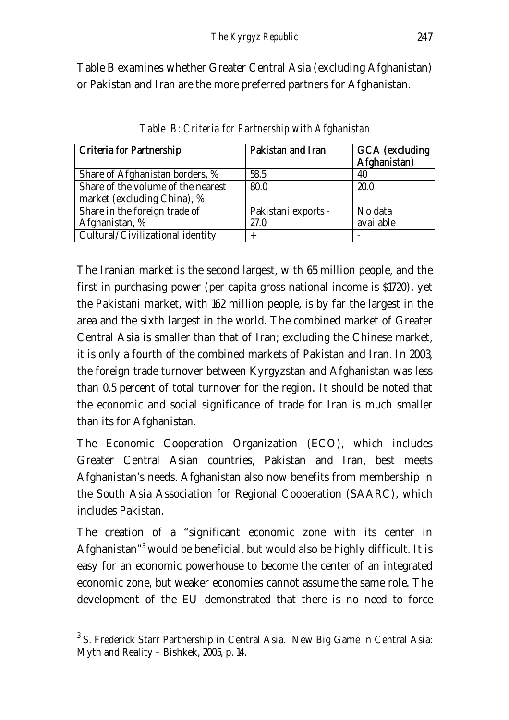Table B examines whether Greater Central Asia (excluding Afghanistan) or Pakistan and Iran are the more preferred partners for Afghanistan.

| Criteria for Partnership           | Pakistan and Iran   | <b>GCA</b> (excluding<br>Afghanistan) |
|------------------------------------|---------------------|---------------------------------------|
| Share of Afghanistan borders, %    | 58.5                | 40                                    |
| Share of the volume of the nearest | 80.0                | 20.0                                  |
| market (excluding China), %        |                     |                                       |
| Share in the foreign trade of      | Pakistani exports - | No data                               |
| Afghanistan, %                     | 27.0                | available                             |
| Cultural/Civilizational identity   | $\div$              |                                       |

*Table B: Criteria for Partnership with Afghanistan* 

The Iranian market is the second largest, with 65 million people, and the first in purchasing power (per capita gross national income is \$1720), yet the Pakistani market, with 162 million people, is by far the largest in the area and the sixth largest in the world. The combined market of Greater Central Asia is smaller than that of Iran; excluding the Chinese market, it is only a fourth of the combined markets of Pakistan and Iran. In 2003, the foreign trade turnover between Kyrgyzstan and Afghanistan was less than 0.5 percent of total turnover for the region. It should be noted that the economic and social significance of trade for Iran is much smaller than its for Afghanistan.

The Economic Cooperation Organization (ECO), which includes Greater Central Asian countries, Pakistan and Iran, best meets Afghanistan's needs. Afghanistan also now benefits from membership in the South Asia Association for Regional Cooperation (SAARC), which includes Pakistan.

The creation of a "significant economic zone with its center in Afghanistan"3 would be beneficial, but would also be highly difficult. It is easy for an economic powerhouse to become the center of an integrated economic zone, but weaker economies cannot assume the same role. The development of the EU demonstrated that there is no need to force

 $\overline{a}$ 

 $3$  S. Frederick Starr Partnership in Central Asia. New Big Game in Central Asia: Myth and Reality – Bishkek, 2005, p. 14.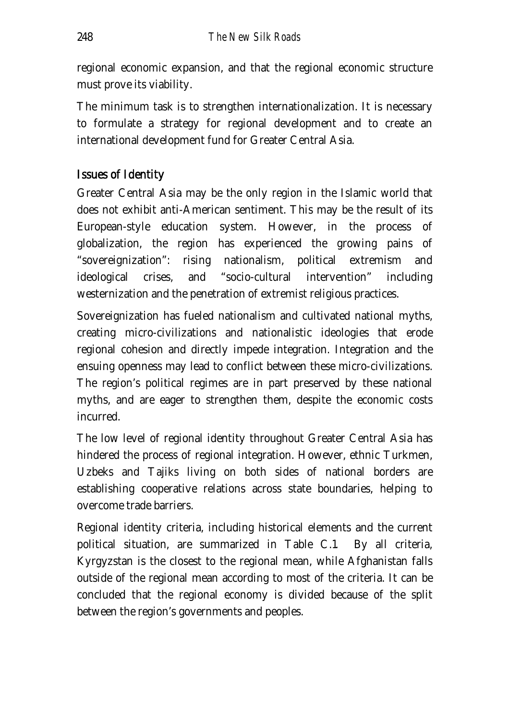regional economic expansion, and that the regional economic structure must prove its viability.

The minimum task is to strengthen internationalization. It is necessary to formulate a strategy for regional development and to create an international development fund for Greater Central Asia.

# Issues of Identity

Greater Central Asia may be the only region in the Islamic world that does not exhibit anti-American sentiment. This may be the result of its European-style education system. However, in the process of globalization, the region has experienced the growing pains of "sovereignization": rising nationalism, political extremism and ideological crises, and "socio-cultural intervention" including westernization and the penetration of extremist religious practices.

Sovereignization has fueled nationalism and cultivated national myths, creating micro-civilizations and nationalistic ideologies that erode regional cohesion and directly impede integration. Integration and the ensuing openness may lead to conflict between these micro-civilizations. The region's political regimes are in part preserved by these national myths, and are eager to strengthen them, despite the economic costs incurred.

The low level of regional identity throughout Greater Central Asia has hindered the process of regional integration. However, ethnic Turkmen, Uzbeks and Tajiks living on both sides of national borders are establishing cooperative relations across state boundaries, helping to overcome trade barriers.

Regional identity criteria, including historical elements and the current political situation, are summarized in Table C.1. By all criteria, Kyrgyzstan is the closest to the regional mean, while Afghanistan falls outside of the regional mean according to most of the criteria. It can be concluded that the regional economy is divided because of the split between the region's governments and peoples.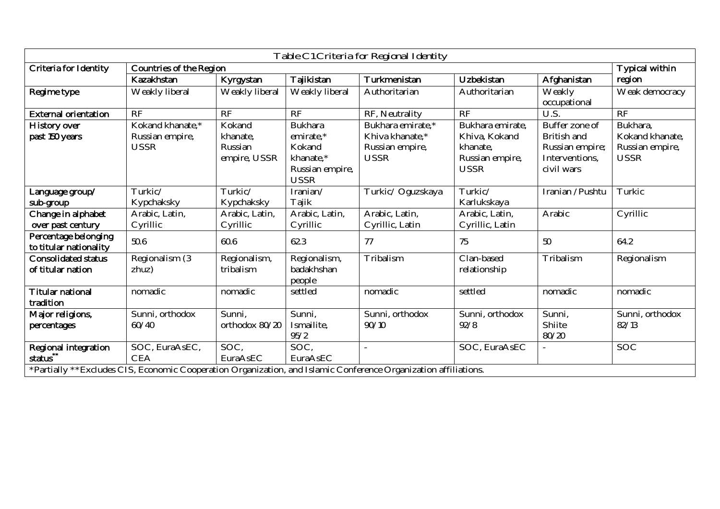|                                                                                                                 | Table C1 Criteria for Regional Identity |                |                 |                   |                  |                    |                       |  |
|-----------------------------------------------------------------------------------------------------------------|-----------------------------------------|----------------|-----------------|-------------------|------------------|--------------------|-----------------------|--|
| <b>Criteria for Identity</b>                                                                                    | <b>Countries of the Region</b>          |                |                 |                   |                  |                    | <b>Typical within</b> |  |
|                                                                                                                 | Kazakhstan                              | Kyrgystan      | Tajikistan      | Turkmenistan      | Uzbekistan       | Afghanistan        | region                |  |
| Regime type                                                                                                     | Weakly liberal                          | Weakly liberal | Weakly liberal  | Authoritarian     | Authoritarian    | Weakly             | Weak democracy        |  |
|                                                                                                                 |                                         |                |                 |                   |                  | occupational       |                       |  |
| <b>External orientation</b>                                                                                     | RF                                      | RF             | RF              | RF, Neutrality    | RF               | U.S.               | RF                    |  |
| <b>History over</b>                                                                                             | Kokand khanate,*                        | Kokand         | <b>Bukhara</b>  | Bukhara emirate,* | Bukhara emirate, | Buffer zone of     | Bukhara,              |  |
| past 150 years                                                                                                  | Russian empire,                         | khanate,       | emirate,*       | Khiva khanate.*   | Khiva, Kokand    | <b>British and</b> | Kokand khanate,       |  |
|                                                                                                                 | <b>USSR</b>                             | Russian        | Kokand          | Russian empire,   | khanate.         | Russian empire;    | Russian empire,       |  |
|                                                                                                                 |                                         | empire, USSR   | khanate.*       | <b>USSR</b>       | Russian empire,  | Interventions.     | <b>USSR</b>           |  |
|                                                                                                                 |                                         |                | Russian empire, |                   | <b>USSR</b>      | civil wars         |                       |  |
|                                                                                                                 |                                         |                | <b>USSR</b>     |                   |                  |                    |                       |  |
| Language group/                                                                                                 | Turkic/                                 | Turkic/        | Iranian/        | Turkic/Oguzskaya  | Turkic/          | Iranian / Pushtu   | Turkic                |  |
| sub-group                                                                                                       | Kypchaksky                              | Kypchaksky     | Tajik           |                   | Karlukskaya      |                    |                       |  |
| Change in alphabet                                                                                              | Arabic, Latin,                          | Arabic, Latin, | Arabic, Latin,  | Arabic, Latin,    | Arabic, Latin,   | Arabic             | Cyrillic              |  |
| over past century                                                                                               | Cyrillic                                | Cyrillic       | Cyrillic        | Cyrillic, Latin   | Cyrillic, Latin  |                    |                       |  |
| Percentage belonging                                                                                            | 50.6                                    | 60.6           | 62.3            | 77                | 75               | 50                 | 64.2                  |  |
| to titular nationality                                                                                          |                                         |                |                 |                   |                  |                    |                       |  |
| <b>Consolidated status</b>                                                                                      | Regionalism (3                          | Regionalism,   | Regionalism,    | Tribalism         | Clan-based       | Tribalism          | Regionalism           |  |
| of titular nation                                                                                               | zhuz)                                   | tribalism      | badakhshan      |                   | relationship     |                    |                       |  |
|                                                                                                                 |                                         |                | people          |                   |                  |                    |                       |  |
| <b>Titular national</b>                                                                                         | nomadic                                 | nomadic        | settled         | nomadic           | settled          | nomadic            | nomadic               |  |
| tradition                                                                                                       |                                         |                |                 |                   |                  |                    |                       |  |
| Major religions,                                                                                                | Sunni, orthodox                         | Sunni,         | Sunni,          | Sunni, orthodox   | Sunni, orthodox  | Sunni,             | Sunni, orthodox       |  |
| percentages                                                                                                     | 60/40                                   | orthodox 80/20 | Ismailite,      | 90/10             | 92/8             | Shiite             | 82/13                 |  |
|                                                                                                                 |                                         |                | 95/2            |                   |                  | 80/20              |                       |  |
| Regional integration                                                                                            | SOC, EuraAsEC,                          | SOC,           | SOC,            |                   | SOC, EuraAsEC    |                    | <b>SOC</b>            |  |
| status <sup>®</sup>                                                                                             | <b>CEA</b>                              | EuraAsEC       | EuraAsEC        |                   |                  |                    |                       |  |
| *Partially **Excludes CIS, Economic Cooperation Organization, and Islamic Conference Organization affiliations. |                                         |                |                 |                   |                  |                    |                       |  |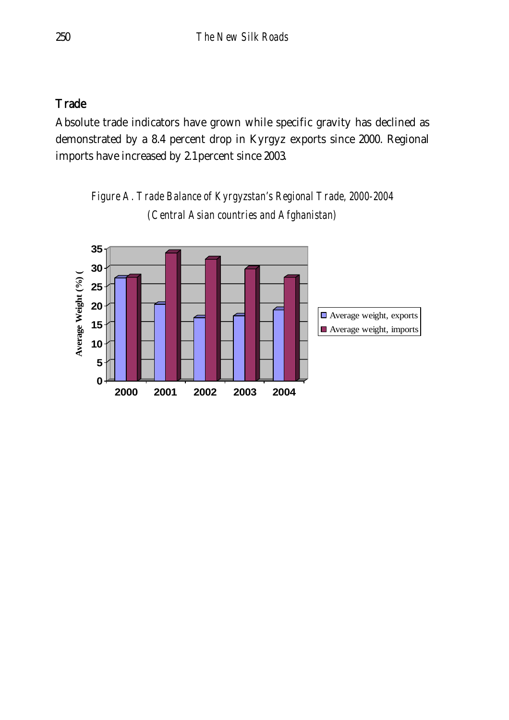#### **Trade**

Absolute trade indicators have grown while specific gravity has declined as demonstrated by a 8.4 percent drop in Kyrgyz exports since 2000. Regional imports have increased by 2.1 percent since 2003.

*Figure A. Trade Balance of Kyrgyzstan's Regional Trade, 2000-2004 (Central Asian countries and Afghanistan)* 

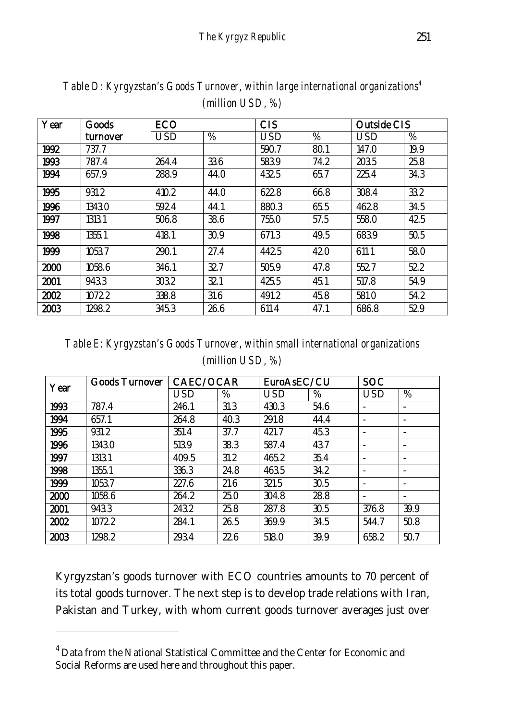| Year | Goods    | <b>ECO</b> |      | <b>CIS</b> |      | <b>Outside CIS</b> |      |
|------|----------|------------|------|------------|------|--------------------|------|
|      | turnover | <b>USD</b> | %    | <b>USD</b> | $\%$ | <b>USD</b>         | %    |
| 1992 | 737.7    |            |      | 590.7      | 80.1 | 147.0              | 19.9 |
| 1993 | 787.4    | 264.4      | 33.6 | 583.9      | 74.2 | 203.5              | 25.8 |
| 1994 | 657.9    | 288.9      | 44.0 | 432.5      | 65.7 | 225.4              | 34.3 |
| 1995 | 931.2    | 410.2      | 44.0 | 622.8      | 66.8 | 308.4              | 33.2 |
| 1996 | 1343.0   | 592.4      | 44.1 | 880.3      | 65.5 | 462.8              | 34.5 |
| 1997 | 1313.1   | 506.8      | 38.6 | 755.0      | 57.5 | 558.0              | 42.5 |
| 1998 | 1355.1   | 418.1      | 30.9 | 671.3      | 49.5 | 683.9              | 50.5 |
| 1999 | 1053.7   | 290.1      | 27.4 | 442.5      | 42.0 | 611.1              | 58.0 |
| 2000 | 1058.6   | 346.1      | 32.7 | 505.9      | 47.8 | 552.7              | 52.2 |
| 2001 | 943.3    | 303.2      | 32.1 | 425.5      | 45.1 | 517.8              | 54.9 |
| 2002 | 1072.2   | 338.8      | 31.6 | 491.2      | 45.8 | 581.0              | 54.2 |
| 2003 | 1298.2   | 345.3      | 26.6 | 611.4      | 47.1 | 686.8              | 52.9 |

*Table D: Kyrgyzstan's Goods Turnover, within large international organizations4 (million USD, %)* 

*Table E: Kyrgyzstan's Goods Turnover, within small international organizations (million USD, %)* 

| Year | <b>Goods Turnover</b> | CAEC/OCAR  |      | EuroAsEC/CU |      | <b>SOC</b>               |                          |
|------|-----------------------|------------|------|-------------|------|--------------------------|--------------------------|
|      |                       | <b>USD</b> | %    | <b>USD</b>  | $\%$ | <b>USD</b>               | %                        |
| 1993 | 787.4                 | 246.1      | 31.3 | 430.3       | 54.6 |                          |                          |
| 1994 | 657.1                 | 264.8      | 40.3 | 291.8       | 44.4 | $\overline{\phantom{a}}$ | $\overline{\phantom{a}}$ |
| 1995 | 931.2                 | 351.4      | 37.7 | 421.7       | 45.3 | $\qquad \qquad$          | -                        |
| 1996 | 1343.0                | 513.9      | 38.3 | 587.4       | 43.7 | -                        |                          |
| 1997 | 1313.1                | 409.5      | 31.2 | 465.2       | 35.4 | $\qquad \qquad$          | -                        |
| 1998 | 1355.1                | 336.3      | 24.8 | 463.5       | 34.2 | -                        | -                        |
| 1999 | 1053.7                | 227.6      | 21.6 | 321.5       | 30.5 |                          |                          |
| 2000 | 1058.6                | 264.2      | 25.0 | 304.8       | 28.8 |                          |                          |
| 2001 | 943.3                 | 243.2      | 25.8 | 287.8       | 30.5 | 376.8                    | 39.9                     |
| 2002 | 1072.2                | 284.1      | 26.5 | 369.9       | 34.5 | 544.7                    | 50.8                     |
| 2003 | 1298.2                | 293.4      | 22.6 | 518.0       | 39.9 | 658.2                    | 50.7                     |

Kyrgyzstan's goods turnover with ECO countries amounts to 70 percent of its total goods turnover. The next step is to develop trade relations with Iran, Pakistan and Turkey, with whom current goods turnover averages just over

 $\overline{a}$ 

<sup>4</sup> Data from the National Statistical Committee and the Center for Economic and Social Reforms are used here and throughout this paper.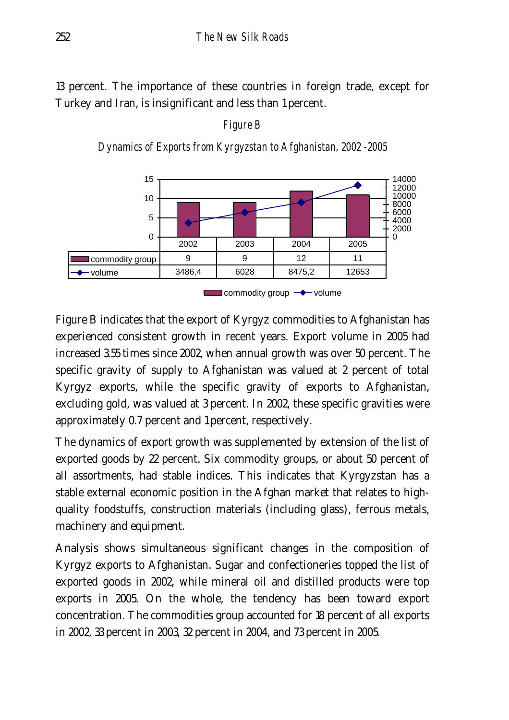13 percent. The importance of these countries in foreign trade, except for Turkey and Iran, is insignificant and less than 1 percent.

#### 0 5 10 15  $\Omega$ 2000 4000 6000 8000 10000 12000 14000 commodity group  $\rightarrow$  volume  $\textcolor{red}{\bullet}$  commodity group  $\begin{array}{|c|c|c|c|c|c|} \hline \textcolor{red}{\bullet} & \textcolor{red}{\bullet} & \textcolor{red}{\bullet} & \textcolor{red}{\bullet} & \textcolor{red}{\bullet} & \textcolor{red}{\bullet} & \textcolor{red}{\bullet} & \textcolor{red}{\bullet} & \textcolor{red}{\bullet} & \textcolor{red}{\bullet} & \textcolor{red}{\bullet} & \textcolor{red}{\bullet} & \textcolor{red}{\bullet} & \textcolor{red}{\bullet} & \textcolor{red}{\bullet} & \textcolor{red}{\bullet} & \textcolor{red}{\bullet} &$ volume | 3486,4 | 6028 | 8475,2 | 12653 2002 2003 2004 2005

# *Figure B Dynamics of Exports from Kyrgyzstan to Afghanistan, 2002 -2005*

Figure B indicates that the export of Kyrgyz commodities to Afghanistan has experienced consistent growth in recent years. Export volume in 2005 had increased 3.55 times since 2002, when annual growth was over 50 percent. The specific gravity of supply to Afghanistan was valued at 2 percent of total Kyrgyz exports, while the specific gravity of exports to Afghanistan, excluding gold, was valued at 3 percent. In 2002, these specific gravities were approximately 0.7 percent and 1 percent, respectively.

The dynamics of export growth was supplemented by extension of the list of exported goods by 22 percent. Six commodity groups, or about 50 percent of all assortments, had stable indices. This indicates that Kyrgyzstan has a stable external economic position in the Afghan market that relates to highquality foodstuffs, construction materials (including glass), ferrous metals, machinery and equipment.

Analysis shows simultaneous significant changes in the composition of Kyrgyz exports to Afghanistan. Sugar and confectioneries topped the list of exported goods in 2002, while mineral oil and distilled products were top exports in 2005. On the whole, the tendency has been toward export concentration. The commodities group accounted for 18 percent of all exports in 2002, 33 percent in 2003, 32 percent in 2004, and 73 percent in 2005.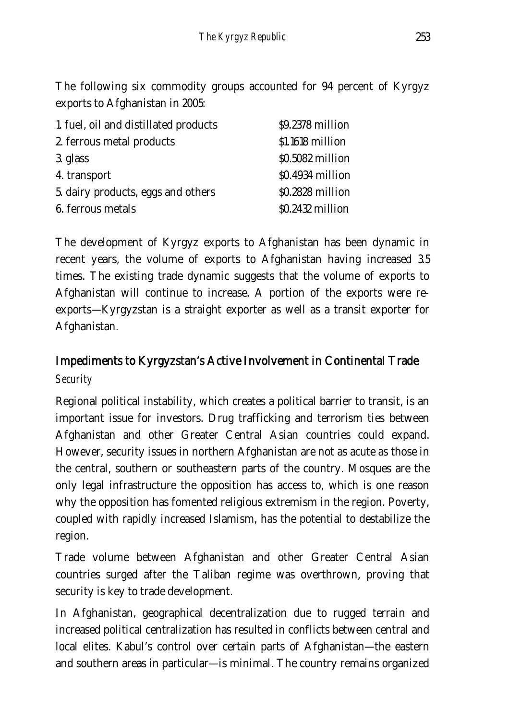The following six commodity groups accounted for 94 percent of Kyrgyz exports to Afghanistan in 2005:

| 1. fuel, oil and distillated products | \$9.2378 million |
|---------------------------------------|------------------|
| 2. ferrous metal products             | \$1.1618 million |
| 3. glass                              | \$0.5082 million |
| 4. transport                          | \$0.4934 million |
| 5. dairy products, eggs and others    | \$0.2828 million |
| 6. ferrous metals                     | \$0.2432 million |

The development of Kyrgyz exports to Afghanistan has been dynamic in recent years, the volume of exports to Afghanistan having increased 3.5 times. The existing trade dynamic suggests that the volume of exports to Afghanistan will continue to increase. A portion of the exports were reexports—Kyrgyzstan is a straight exporter as well as a transit exporter for Afghanistan.

# Impediments to Kyrgyzstan's Active Involvement in Continental Trade *Security*

Regional political instability, which creates a political barrier to transit, is an important issue for investors. Drug trafficking and terrorism ties between Afghanistan and other Greater Central Asian countries could expand. However, security issues in northern Afghanistan are not as acute as those in the central, southern or southeastern parts of the country. Mosques are the only legal infrastructure the opposition has access to, which is one reason why the opposition has fomented religious extremism in the region. Poverty, coupled with rapidly increased Islamism, has the potential to destabilize the region.

Trade volume between Afghanistan and other Greater Central Asian countries surged after the Taliban regime was overthrown, proving that security is key to trade development.

In Afghanistan, geographical decentralization due to rugged terrain and increased political centralization has resulted in conflicts between central and local elites. Kabul's control over certain parts of Afghanistan—the eastern and southern areas in particular—is minimal. The country remains organized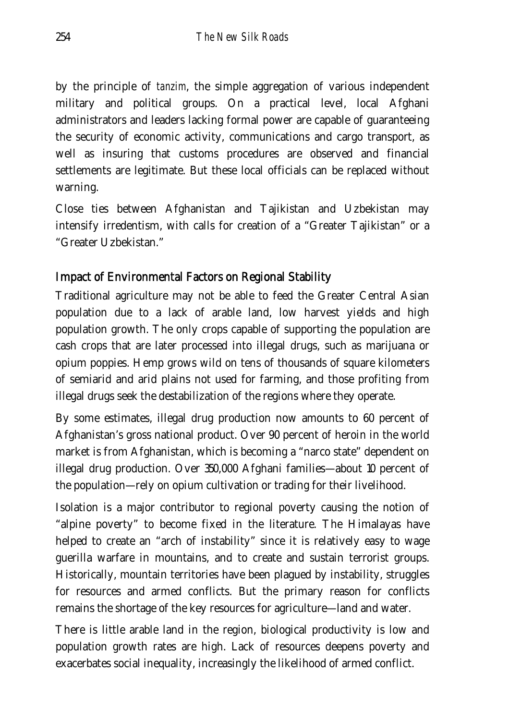by the principle of *tanzim*, the simple aggregation of various independent military and political groups. On a practical level, local Afghani administrators and leaders lacking formal power are capable of guaranteeing the security of economic activity, communications and cargo transport, as well as insuring that customs procedures are observed and financial settlements are legitimate. But these local officials can be replaced without warning.

Close ties between Afghanistan and Tajikistan and Uzbekistan may intensify irredentism, with calls for creation of a "Greater Tajikistan" or a "Greater Uzbekistan."

#### Impact of Environmental Factors on Regional Stability

Traditional agriculture may not be able to feed the Greater Central Asian population due to a lack of arable land, low harvest yields and high population growth. The only crops capable of supporting the population are cash crops that are later processed into illegal drugs, such as marijuana or opium poppies. Hemp grows wild on tens of thousands of square kilometers of semiarid and arid plains not used for farming, and those profiting from illegal drugs seek the destabilization of the regions where they operate.

By some estimates, illegal drug production now amounts to 60 percent of Afghanistan's gross national product. Over 90 percent of heroin in the world market is from Afghanistan, which is becoming a "narco state" dependent on illegal drug production. Over 350,000 Afghani families—about 10 percent of the population—rely on opium cultivation or trading for their livelihood.

Isolation is a major contributor to regional poverty causing the notion of "alpine poverty" to become fixed in the literature. The Himalayas have helped to create an "arch of instability" since it is relatively easy to wage guerilla warfare in mountains, and to create and sustain terrorist groups. Historically, mountain territories have been plagued by instability, struggles for resources and armed conflicts. But the primary reason for conflicts remains the shortage of the key resources for agriculture—land and water.

There is little arable land in the region, biological productivity is low and population growth rates are high. Lack of resources deepens poverty and exacerbates social inequality, increasingly the likelihood of armed conflict.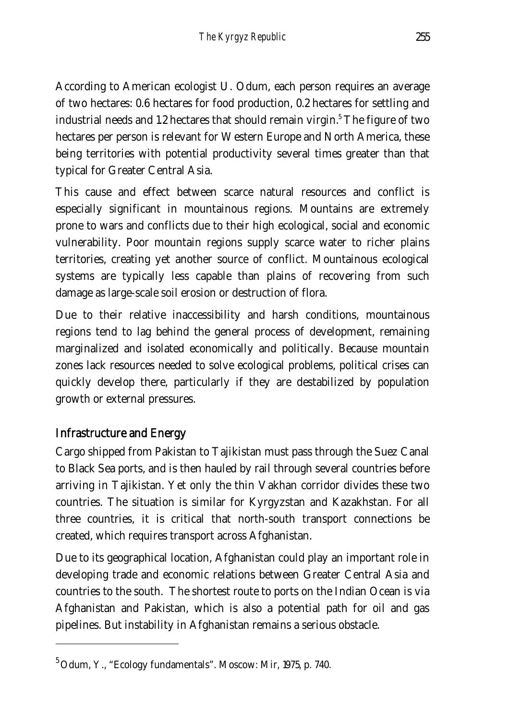According to American ecologist U. Odum, each person requires an average of two hectares: 0.6 hectares for food production, 0.2 hectares for settling and industrial needs and 1.2 hectares that should remain virgin. $^5$  The figure of two hectares per person is relevant for Western Europe and North America, these being territories with potential productivity several times greater than that typical for Greater Central Asia.

This cause and effect between scarce natural resources and conflict is especially significant in mountainous regions. Mountains are extremely prone to wars and conflicts due to their high ecological, social and economic vulnerability. Poor mountain regions supply scarce water to richer plains territories, creating yet another source of conflict. Mountainous ecological systems are typically less capable than plains of recovering from such damage as large-scale soil erosion or destruction of flora.

Due to their relative inaccessibility and harsh conditions, mountainous regions tend to lag behind the general process of development, remaining marginalized and isolated economically and politically. Because mountain zones lack resources needed to solve ecological problems, political crises can quickly develop there, particularly if they are destabilized by population growth or external pressures.

# Infrastructure and Energy

 $\overline{a}$ 

Cargo shipped from Pakistan to Tajikistan must pass through the Suez Canal to Black Sea ports, and is then hauled by rail through several countries before arriving in Tajikistan. Yet only the thin Vakhan corridor divides these two countries. The situation is similar for Kyrgyzstan and Kazakhstan. For all three countries, it is critical that north-south transport connections be created, which requires transport across Afghanistan.

Due to its geographical location, Afghanistan could play an important role in developing trade and economic relations between Greater Central Asia and countries to the south. The shortest route to ports on the Indian Ocean is via Afghanistan and Pakistan, which is also a potential path for oil and gas pipelines. But instability in Afghanistan remains a serious obstacle.

<sup>5</sup> Odum, Y., "Ecology fundamentals". Moscow: Mir, 1975, p. 740.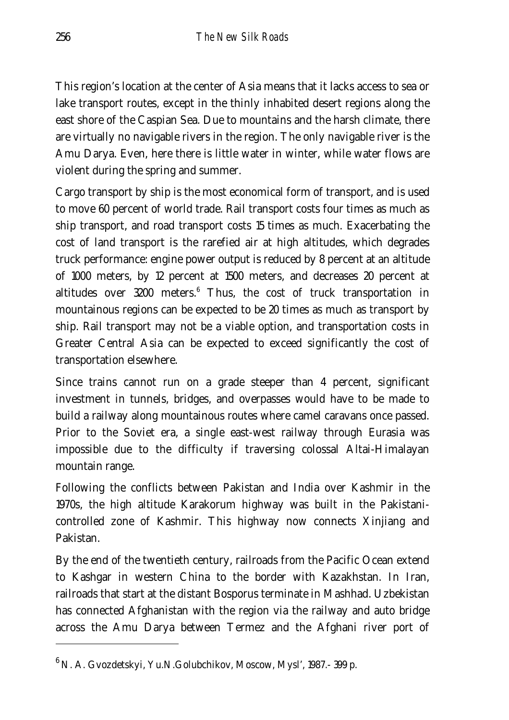This region's location at the center of Asia means that it lacks access to sea or lake transport routes, except in the thinly inhabited desert regions along the east shore of the Caspian Sea. Due to mountains and the harsh climate, there are virtually no navigable rivers in the region. The only navigable river is the Amu Darya. Even, here there is little water in winter, while water flows are violent during the spring and summer.

Cargo transport by ship is the most economical form of transport, and is used to move 60 percent of world trade. Rail transport costs four times as much as ship transport, and road transport costs 15 times as much. Exacerbating the cost of land transport is the rarefied air at high altitudes, which degrades truck performance: engine power output is reduced by 8 percent at an altitude of 1000 meters, by 12 percent at 1500 meters, and decreases 20 percent at altitudes over 3200 meters.<sup>6</sup> Thus, the cost of truck transportation in mountainous regions can be expected to be 20 times as much as transport by ship. Rail transport may not be a viable option, and transportation costs in Greater Central Asia can be expected to exceed significantly the cost of transportation elsewhere.

Since trains cannot run on a grade steeper than 4 percent, significant investment in tunnels, bridges, and overpasses would have to be made to build a railway along mountainous routes where camel caravans once passed. Prior to the Soviet era, a single east-west railway through Eurasia was impossible due to the difficulty if traversing colossal Altai-Himalayan mountain range.

Following the conflicts between Pakistan and India over Kashmir in the 1970s, the high altitude Karakorum highway was built in the Pakistanicontrolled zone of Kashmir. This highway now connects Xinjiang and Pakistan.

By the end of the twentieth century, railroads from the Pacific Ocean extend to Kashgar in western China to the border with Kazakhstan. In Iran, railroads that start at the distant Bosporus terminate in Mashhad. Uzbekistan has connected Afghanistan with the region via the railway and auto bridge across the Amu Darya between Termez and the Afghani river port of

 $\overline{a}$ 

<sup>6</sup> N. A. Gvozdetskyi, Yu.N.Golubchikov, Moscow, Mysl', 1987.- 399 p.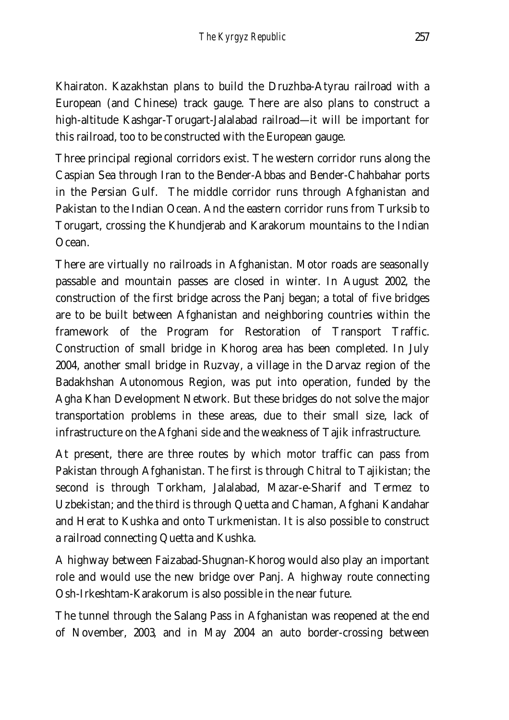Khairaton. Kazakhstan plans to build the Druzhba-Atyrau railroad with a European (and Chinese) track gauge. There are also plans to construct a high-altitude Kashgar-Torugart-Jalalabad railroad—it will be important for this railroad, too to be constructed with the European gauge.

Three principal regional corridors exist. The western corridor runs along the Caspian Sea through Iran to the Bender-Abbas and Bender-Chahbahar ports in the Persian Gulf. The middle corridor runs through Afghanistan and Pakistan to the Indian Ocean. And the eastern corridor runs from Turksib to Torugart, crossing the Khundjerab and Karakorum mountains to the Indian Ocean.

There are virtually no railroads in Afghanistan. Motor roads are seasonally passable and mountain passes are closed in winter. In August 2002, the construction of the first bridge across the Panj began; a total of five bridges are to be built between Afghanistan and neighboring countries within the framework of the Program for Restoration of Transport Traffic. Construction of small bridge in Khorog area has been completed. In July 2004, another small bridge in Ruzvay, a village in the Darvaz region of the Badakhshan Autonomous Region, was put into operation, funded by the Agha Khan Development Network. But these bridges do not solve the major transportation problems in these areas, due to their small size, lack of infrastructure on the Afghani side and the weakness of Tajik infrastructure.

At present, there are three routes by which motor traffic can pass from Pakistan through Afghanistan. The first is through Chitral to Tajikistan; the second is through Torkham, Jalalabad, Mazar-e-Sharif and Termez to Uzbekistan; and the third is through Quetta and Chaman, Afghani Kandahar and Herat to Kushka and onto Turkmenistan. It is also possible to construct a railroad connecting Quetta and Kushka.

A highway between Faizabad-Shugnan-Khorog would also play an important role and would use the new bridge over Panj. A highway route connecting Osh-Irkeshtam-Karakorum is also possible in the near future.

The tunnel through the Salang Pass in Afghanistan was reopened at the end of November, 2003, and in May 2004 an auto border-crossing between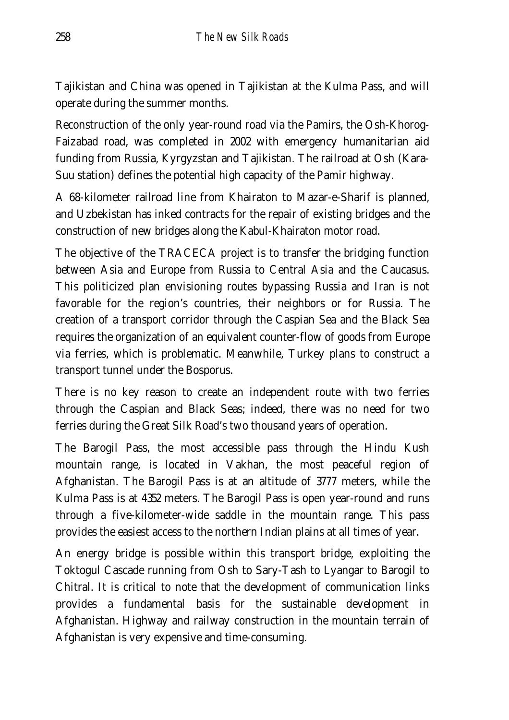Tajikistan and China was opened in Tajikistan at the Kulma Pass, and will operate during the summer months.

Reconstruction of the only year-round road via the Pamirs, the Osh-Khorog-Faizabad road, was completed in 2002 with emergency humanitarian aid funding from Russia, Kyrgyzstan and Tajikistan. The railroad at Osh (Kara-Suu station) defines the potential high capacity of the Pamir highway.

A 68-kilometer railroad line from Khairaton to Mazar-e-Sharif is planned, and Uzbekistan has inked contracts for the repair of existing bridges and the construction of new bridges along the Kabul-Khairaton motor road.

The objective of the TRACECA project is to transfer the bridging function between Asia and Europe from Russia to Central Asia and the Caucasus. This politicized plan envisioning routes bypassing Russia and Iran is not favorable for the region's countries, their neighbors or for Russia. The creation of a transport corridor through the Caspian Sea and the Black Sea requires the organization of an equivalent counter-flow of goods from Europe via ferries, which is problematic. Meanwhile, Turkey plans to construct a transport tunnel under the Bosporus.

There is no key reason to create an independent route with two ferries through the Caspian and Black Seas; indeed, there was no need for two ferries during the Great Silk Road's two thousand years of operation.

The Barogil Pass, the most accessible pass through the Hindu Kush mountain range, is located in Vakhan, the most peaceful region of Afghanistan. The Barogil Pass is at an altitude of 3777 meters, while the Kulma Pass is at 4352 meters. The Barogil Pass is open year-round and runs through a five-kilometer-wide saddle in the mountain range. This pass provides the easiest access to the northern Indian plains at all times of year.

An energy bridge is possible within this transport bridge, exploiting the Toktogul Cascade running from Osh to Sary-Tash to Lyangar to Barogil to Chitral. It is critical to note that the development of communication links provides a fundamental basis for the sustainable development in Afghanistan. Highway and railway construction in the mountain terrain of Afghanistan is very expensive and time-consuming.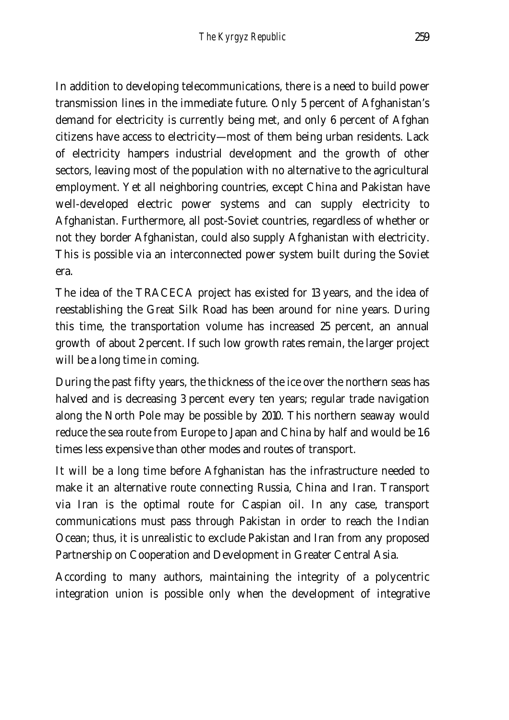In addition to developing telecommunications, there is a need to build power transmission lines in the immediate future. Only 5 percent of Afghanistan's demand for electricity is currently being met, and only 6 percent of Afghan citizens have access to electricity—most of them being urban residents. Lack of electricity hampers industrial development and the growth of other sectors, leaving most of the population with no alternative to the agricultural employment. Yet all neighboring countries, except China and Pakistan have well-developed electric power systems and can supply electricity to Afghanistan. Furthermore, all post-Soviet countries, regardless of whether or not they border Afghanistan, could also supply Afghanistan with electricity. This is possible via an interconnected power system built during the Soviet era.

The idea of the TRACECA project has existed for 13 years, and the idea of reestablishing the Great Silk Road has been around for nine years. During this time, the transportation volume has increased 25 percent, an annual growth of about 2 percent. If such low growth rates remain, the larger project will be a long time in coming.

During the past fifty years, the thickness of the ice over the northern seas has halved and is decreasing 3 percent every ten years; regular trade navigation along the North Pole may be possible by 2010. This northern seaway would reduce the sea route from Europe to Japan and China by half and would be 1.6 times less expensive than other modes and routes of transport.

It will be a long time before Afghanistan has the infrastructure needed to make it an alternative route connecting Russia, China and Iran. Transport via Iran is the optimal route for Caspian oil. In any case, transport communications must pass through Pakistan in order to reach the Indian Ocean; thus, it is unrealistic to exclude Pakistan and Iran from any proposed Partnership on Cooperation and Development in Greater Central Asia.

According to many authors, maintaining the integrity of a polycentric integration union is possible only when the development of integrative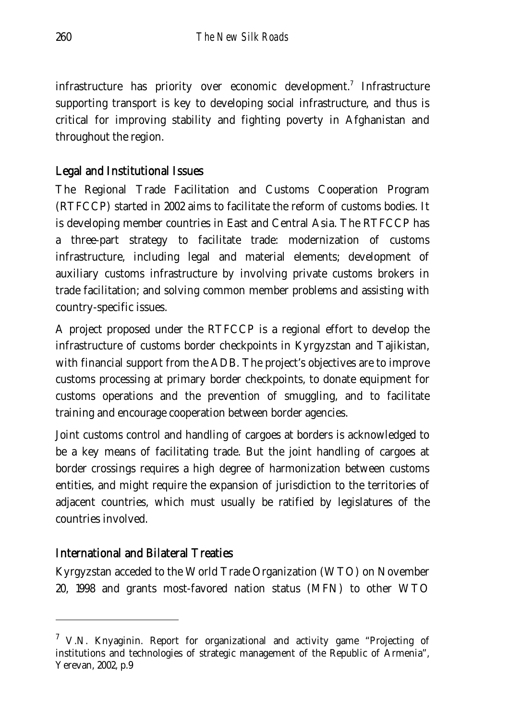infrastructure has priority over economic development.<sup>7</sup> Infrastructure supporting transport is key to developing social infrastructure, and thus is critical for improving stability and fighting poverty in Afghanistan and throughout the region.

#### Legal and Institutional Issues

The Regional Trade Facilitation and Customs Cooperation Program (RTFCCP) started in 2002 aims to facilitate the reform of customs bodies. It is developing member countries in East and Central Asia. The RTFCCP has a three-part strategy to facilitate trade: modernization of customs infrastructure, including legal and material elements; development of auxiliary customs infrastructure by involving private customs brokers in trade facilitation; and solving common member problems and assisting with country-specific issues.

A project proposed under the RTFCCP is a regional effort to develop the infrastructure of customs border checkpoints in Kyrgyzstan and Tajikistan, with financial support from the ADB. The project's objectives are to improve customs processing at primary border checkpoints, to donate equipment for customs operations and the prevention of smuggling, and to facilitate training and encourage cooperation between border agencies.

Joint customs control and handling of cargoes at borders is acknowledged to be a key means of facilitating trade. But the joint handling of cargoes at border crossings requires a high degree of harmonization between customs entities, and might require the expansion of jurisdiction to the territories of adjacent countries, which must usually be ratified by legislatures of the countries involved.

#### International and Bilateral Treaties

 $\overline{a}$ 

Kyrgyzstan acceded to the World Trade Organization (WTO) on November 20, 1998 and grants most-favored nation status (MFN) to other WTO

 $7$  V.N. Knyaginin. Report for organizational and activity game "Projecting of institutions and technologies of strategic management of the Republic of Armenia", Yerevan, 2002, p.9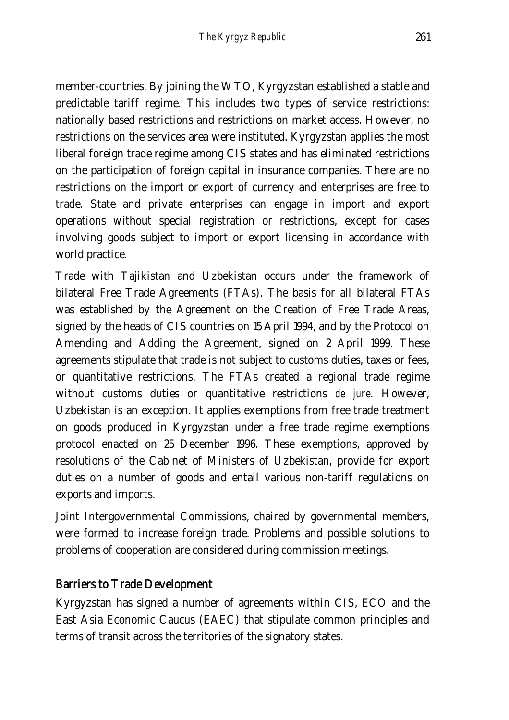member-countries. By joining the WTO, Kyrgyzstan established a stable and predictable tariff regime. This includes two types of service restrictions: nationally based restrictions and restrictions on market access. However, no restrictions on the services area were instituted. Kyrgyzstan applies the most liberal foreign trade regime among CIS states and has eliminated restrictions on the participation of foreign capital in insurance companies. There are no restrictions on the import or export of currency and enterprises are free to trade. State and private enterprises can engage in import and export operations without special registration or restrictions, except for cases involving goods subject to import or export licensing in accordance with world practice.

Trade with Tajikistan and Uzbekistan occurs under the framework of bilateral Free Trade Agreements (FTAs). The basis for all bilateral FTAs was established by the Agreement on the Creation of Free Trade Areas, signed by the heads of CIS countries on 15 April 1994, and by the Protocol on Amending and Adding the Agreement, signed on 2 April 1999. These agreements stipulate that trade is not subject to customs duties, taxes or fees, or quantitative restrictions. The FTAs created a regional trade regime without customs duties or quantitative restrictions *de jure*. However, Uzbekistan is an exception. It applies exemptions from free trade treatment on goods produced in Kyrgyzstan under a free trade regime exemptions protocol enacted on 25 December 1996. These exemptions, approved by resolutions of the Cabinet of Ministers of Uzbekistan, provide for export duties on a number of goods and entail various non-tariff regulations on exports and imports.

Joint Intergovernmental Commissions, chaired by governmental members, were formed to increase foreign trade. Problems and possible solutions to problems of cooperation are considered during commission meetings.

#### Barriers to Trade Development

Kyrgyzstan has signed a number of agreements within CIS, ECO and the East Asia Economic Caucus (EAEC) that stipulate common principles and terms of transit across the territories of the signatory states.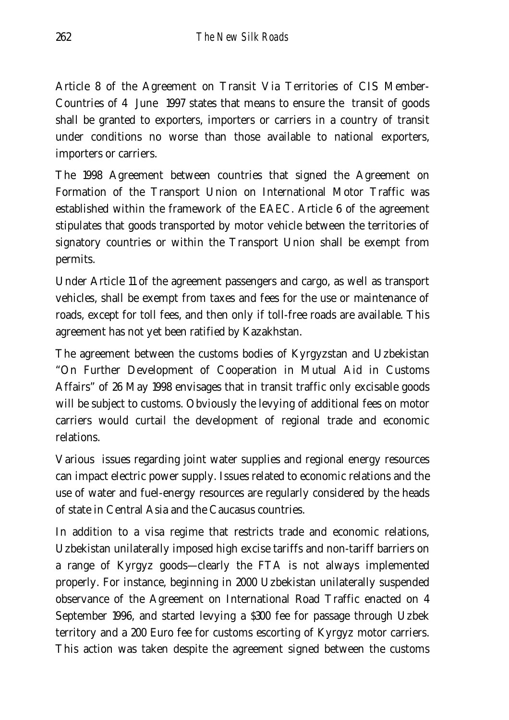Article 8 of the Agreement on Transit Via Territories of CIS Member-Countries of 4 June 1997 states that means to ensure the transit of goods shall be granted to exporters, importers or carriers in a country of transit under conditions no worse than those available to national exporters, importers or carriers.

The 1998 Agreement between countries that signed the Agreement on Formation of the Transport Union on International Motor Traffic was established within the framework of the EAEC. Article 6 of the agreement stipulates that goods transported by motor vehicle between the territories of signatory countries or within the Transport Union shall be exempt from permits.

Under Article 11 of the agreement passengers and cargo, as well as transport vehicles, shall be exempt from taxes and fees for the use or maintenance of roads, except for toll fees, and then only if toll-free roads are available. This agreement has not yet been ratified by Kazakhstan.

The agreement between the customs bodies of Kyrgyzstan and Uzbekistan "On Further Development of Cooperation in Mutual Aid in Customs Affairs" of 26 May 1998 envisages that in transit traffic only excisable goods will be subject to customs. Obviously the levying of additional fees on motor carriers would curtail the development of regional trade and economic relations.

Various issues regarding joint water supplies and regional energy resources can impact electric power supply. Issues related to economic relations and the use of water and fuel-energy resources are regularly considered by the heads of state in Central Asia and the Caucasus countries.

In addition to a visa regime that restricts trade and economic relations, Uzbekistan unilaterally imposed high excise tariffs and non-tariff barriers on a range of Kyrgyz goods—clearly the FTA is not always implemented properly. For instance, beginning in 2000 Uzbekistan unilaterally suspended observance of the Agreement on International Road Traffic enacted on 4 September 1996, and started levying a \$300 fee for passage through Uzbek territory and a 200 Euro fee for customs escorting of Kyrgyz motor carriers. This action was taken despite the agreement signed between the customs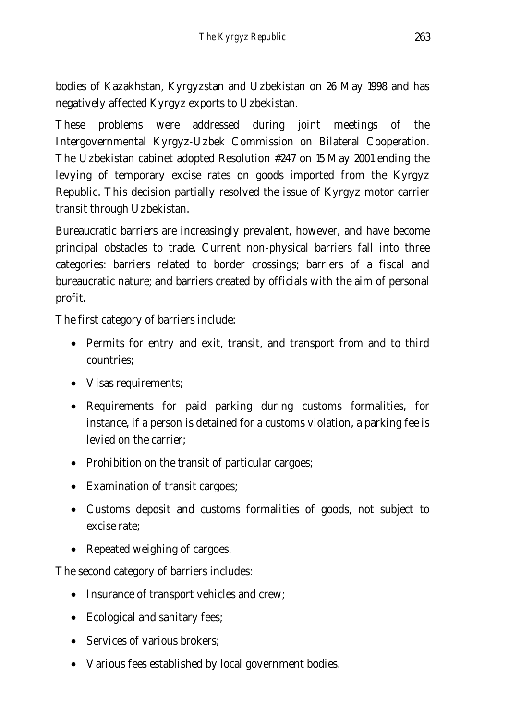bodies of Kazakhstan, Kyrgyzstan and Uzbekistan on 26 May 1998 and has negatively affected Kyrgyz exports to Uzbekistan.

These problems were addressed during joint meetings of the Intergovernmental Kyrgyz-Uzbek Commission on Bilateral Cooperation. The Uzbekistan cabinet adopted Resolution #247 on 15 May 2001 ending the levying of temporary excise rates on goods imported from the Kyrgyz Republic. This decision partially resolved the issue of Kyrgyz motor carrier transit through Uzbekistan.

Bureaucratic barriers are increasingly prevalent, however, and have become principal obstacles to trade. Current non-physical barriers fall into three categories: barriers related to border crossings; barriers of a fiscal and bureaucratic nature; and barriers created by officials with the aim of personal profit.

The first category of barriers include:

- Permits for entry and exit, transit, and transport from and to third countries;
- Visas requirements;
- Requirements for paid parking during customs formalities, for instance, if a person is detained for a customs violation, a parking fee is levied on the carrier;
- Prohibition on the transit of particular cargoes;
- Examination of transit cargoes;
- Customs deposit and customs formalities of goods, not subject to excise rate;
- Repeated weighing of cargoes.

The second category of barriers includes:

- Insurance of transport vehicles and crew;
- Ecological and sanitary fees;
- Services of various brokers:
- Various fees established by local government bodies.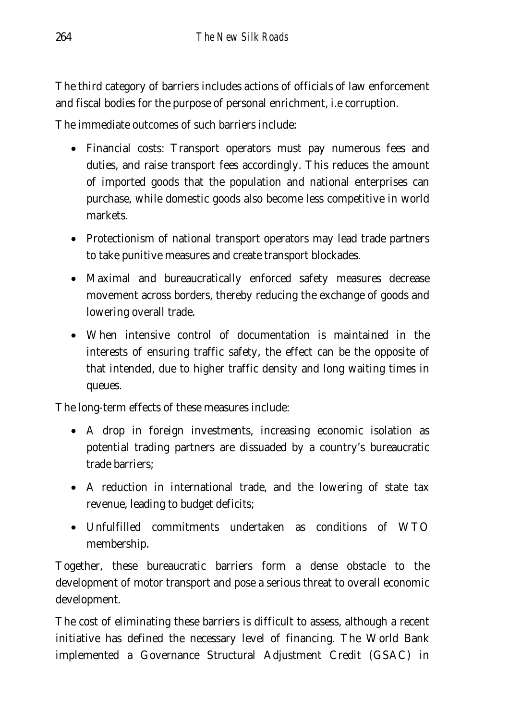The third category of barriers includes actions of officials of law enforcement and fiscal bodies for the purpose of personal enrichment, i.e corruption.

The immediate outcomes of such barriers include:

- Financial costs: Transport operators must pay numerous fees and duties, and raise transport fees accordingly. This reduces the amount of imported goods that the population and national enterprises can purchase, while domestic goods also become less competitive in world markets.
- Protectionism of national transport operators may lead trade partners to take punitive measures and create transport blockades.
- Maximal and bureaucratically enforced safety measures decrease movement across borders, thereby reducing the exchange of goods and lowering overall trade.
- When intensive control of documentation is maintained in the interests of ensuring traffic safety, the effect can be the opposite of that intended, due to higher traffic density and long waiting times in queues.

The long-term effects of these measures include:

- A drop in foreign investments, increasing economic isolation as potential trading partners are dissuaded by a country's bureaucratic trade barriers;
- A reduction in international trade, and the lowering of state tax revenue, leading to budget deficits;
- Unfulfilled commitments undertaken as conditions of WTO membership.

Together, these bureaucratic barriers form a dense obstacle to the development of motor transport and pose a serious threat to overall economic development.

The cost of eliminating these barriers is difficult to assess, although a recent initiative has defined the necessary level of financing. The World Bank implemented a Governance Structural Adjustment Credit (GSAC) in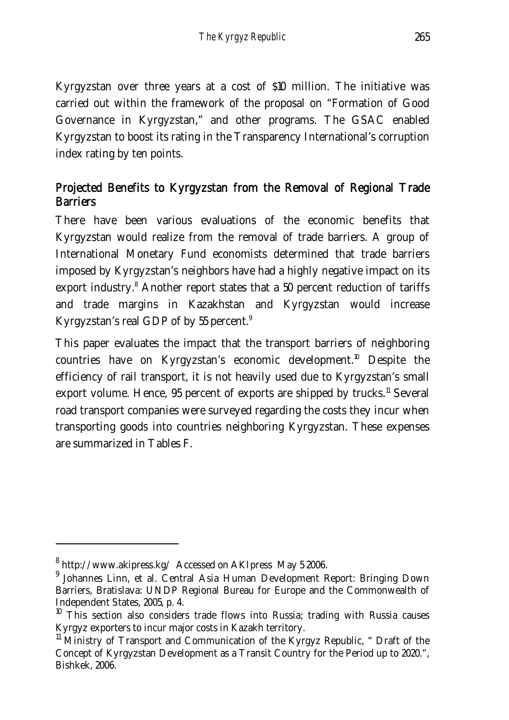Kyrgyzstan over three years at a cost of \$10 million. The initiative was carried out within the framework of the proposal on "Formation of Good Governance in Kyrgyzstan," and other programs. The GSAC enabled Kyrgyzstan to boost its rating in the Transparency International's corruption index rating by ten points.

#### Projected Benefits to Kyrgyzstan from the Removal of Regional Trade **Barriers**

There have been various evaluations of the economic benefits that Kyrgyzstan would realize from the removal of trade barriers. A group of International Monetary Fund economists determined that trade barriers imposed by Kyrgyzstan's neighbors have had a highly negative impact on its export industry.<sup>8</sup> Another report states that a 50 percent reduction of tariffs and trade margins in Kazakhstan and Kyrgyzstan would increase Kyrgyzstan's real GDP of by 55 percent. $^9$ 

This paper evaluates the impact that the transport barriers of neighboring countries have on Kyrgyzstan's economic development.10 Despite the efficiency of rail transport, it is not heavily used due to Kyrgyzstan's small export volume. Hence, 95 percent of exports are shipped by trucks.<sup>11</sup> Several road transport companies were surveyed regarding the costs they incur when transporting goods into countries neighboring Kyrgyzstan. These expenses are summarized in Tables F.

 $\overline{a}$ 

 $^8$  http://www.akipress.kg/ Accessed on AKIpress May 5 2006.

<sup>9</sup> Johannes Linn, et al. Central Asia Human Development Report: Bringing Down Barriers, Bratislava: UNDP Regional Bureau for Europe and the Commonwealth of Independent States, 2005, p. 4.

<sup>&</sup>lt;sup>10</sup> This section also considers trade flows into Russia; trading with Russia causes Kyrgyz exporters to incur major costs in Kazakh territory.<br><sup>11</sup> Ministry of Transport and Communication of the Kyrgyz Republic, " Draft of the

Concept of Kyrgyzstan Development as a Transit Country for the Period up to 2020.", Bishkek, 2006.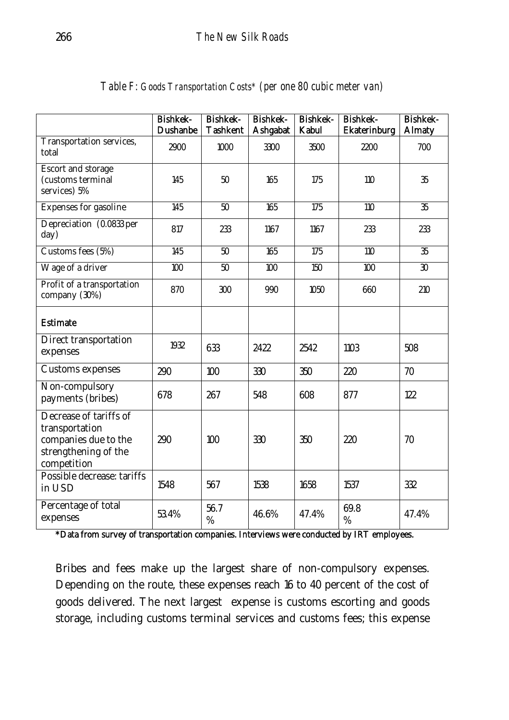|                                                                                                         | <b>Bishkek-</b><br><b>Dushanbe</b> | <b>Bishkek-</b><br><b>Tashkent</b> | <b>Bishkek-</b><br>Ashgabat | <b>Bishkek-</b><br><b>Kabul</b> | <b>Bishkek-</b><br>Ekaterinburg | <b>Bishkek-</b><br>Almaty |
|---------------------------------------------------------------------------------------------------------|------------------------------------|------------------------------------|-----------------------------|---------------------------------|---------------------------------|---------------------------|
| Transportation services,<br>total                                                                       | 2900                               | 1000                               | 3300                        | 3500                            | 2200                            | 700                       |
| <b>Escort and storage</b><br>(customs terminal<br>services) 5%                                          | 145                                | 50                                 | 165                         | 175                             | 110                             | 35                        |
| <b>Expenses for gasoline</b>                                                                            | 145                                | 50                                 | 165                         | 175                             | 110                             | 35                        |
| Depreciation (0.0833 per<br>day)                                                                        | 817                                | 233                                | 1167                        | 1167                            | 233                             | 233                       |
| Customs fees (5%)                                                                                       | 145                                | 50                                 | 165                         | 175                             | 110                             | 35                        |
| Wage of a driver                                                                                        | 100                                | 50                                 | 100                         | 150                             | 100                             | $\overline{30}$           |
| Profit of a transportation<br>company (30%)                                                             | 870                                | 300                                | 990                         | 1050                            | 660                             | 210                       |
| <b>Estimate</b>                                                                                         |                                    |                                    |                             |                                 |                                 |                           |
| <b>Direct transportation</b><br>expenses                                                                | 1932                               | 633                                | 2422                        | 2542                            | 1103                            | 508                       |
| <b>Customs expenses</b>                                                                                 | 290                                | 100                                | 330                         | 350                             | 220                             | 70                        |
| Non-compulsory<br>payments (bribes)                                                                     | 678                                | 267                                | 548                         | 608                             | 877                             | 122                       |
| Decrease of tariffs of<br>transportation<br>companies due to the<br>strengthening of the<br>competition | 290                                | 100                                | 330                         | 350                             | 220                             | 70                        |
| Possible decrease: tariffs<br>in USD                                                                    | 1548                               | 567                                | 1538                        | 1658                            | 1537                            | 332                       |
| Percentage of total<br>expenses                                                                         | 53.4%                              | 56.7<br>%                          | 46.6%                       | 47.4%                           | 69.8<br>$\%$                    | 47.4%                     |

*Table F: Goods Transportation Costs\* (per one 80 cubic meter van)*

\*Data from survey of transportation companies. Interviews were conducted by IRT employees.

Bribes and fees make up the largest share of non-compulsory expenses. Depending on the route, these expenses reach 16 to 40 percent of the cost of goods delivered. The next largest expense is customs escorting and goods storage, including customs terminal services and customs fees; this expense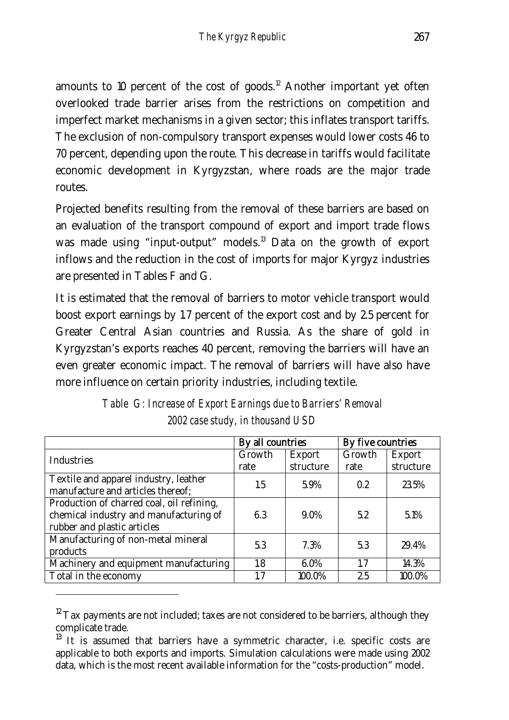amounts to 10 percent of the cost of goods.<sup>12</sup> Another important yet often overlooked trade barrier arises from the restrictions on competition and imperfect market mechanisms in a given sector; this inflates transport tariffs. The exclusion of non-compulsory transport expenses would lower costs 46 to 70 percent, depending upon the route. This decrease in tariffs would facilitate economic development in Kyrgyzstan, where roads are the major trade routes.

Projected benefits resulting from the removal of these barriers are based on an evaluation of the transport compound of export and import trade flows was made using "input-output" models.<sup>13</sup> Data on the growth of export inflows and the reduction in the cost of imports for major Kyrgyz industries are presented in Tables F and G.

It is estimated that the removal of barriers to motor vehicle transport would boost export earnings by 1.7 percent of the export cost and by 2.5 percent for Greater Central Asian countries and Russia. As the share of gold in Kyrgyzstan's exports reaches 40 percent, removing the barriers will have an even greater economic impact. The removal of barriers will have also have more influence on certain priority industries, including textile.

|                                                                                                                    | By all countries |                                                                                             | By five countries |               |  |
|--------------------------------------------------------------------------------------------------------------------|------------------|---------------------------------------------------------------------------------------------|-------------------|---------------|--|
| Industries                                                                                                         | Growth           | Export                                                                                      | Growth            | <b>Export</b> |  |
|                                                                                                                    | rate             | structure<br>structure<br>rate<br>5.9%<br>0.2<br>1.5<br>23.5%<br>6.3<br>9.0%<br>5.2<br>5.1% |                   |               |  |
| Textile and apparel industry, leather<br>manufacture and articles thereof;                                         |                  |                                                                                             |                   |               |  |
| Production of charred coal, oil refining,<br>chemical industry and manufacturing of<br>rubber and plastic articles |                  |                                                                                             |                   |               |  |
| Manufacturing of non-metal mineral<br>products                                                                     | 5.3              | 7.3%                                                                                        | 5.3               | 29.4%         |  |
| Machinery and equipment manufacturing                                                                              | 1.8              | $6.0\%$                                                                                     | 1.7               | 14.3%         |  |
| Total in the economy                                                                                               | 1.7              | 100.0%                                                                                      | 2.5               | 100.0%        |  |

*Table G: Increase of Export Earnings due to Barriers' Removal 2002 case study, in thousand USD* 

 $\overline{a}$ 

 $12$  Tax payments are not included; taxes are not considered to be barriers, although they complicate trade.

 $13$  It is assumed that barriers have a symmetric character, i.e. specific costs are applicable to both exports and imports. Simulation calculations were made using 2002 data, which is the most recent available information for the "costs-production" model.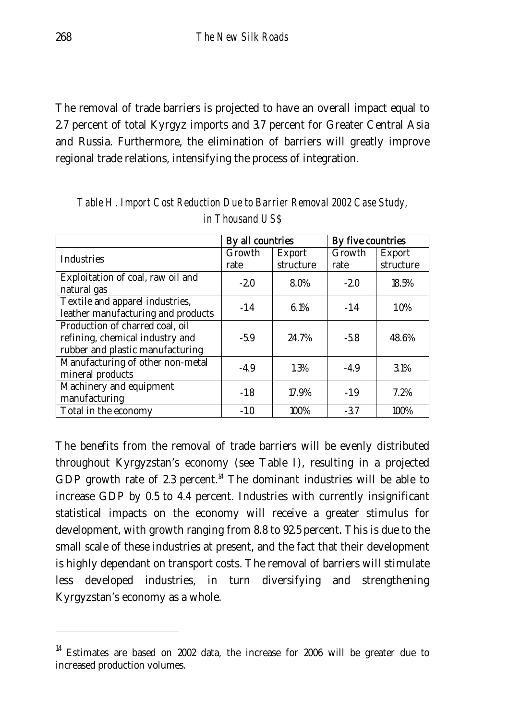The removal of trade barriers is projected to have an overall impact equal to 2.7 percent of total Kyrgyz imports and 3.7 percent for Greater Central Asia and Russia. Furthermore, the elimination of barriers will greatly improve regional trade relations, intensifying the process of integration.

|                                    | By all countries |               | By five countries |               |
|------------------------------------|------------------|---------------|-------------------|---------------|
| <b>Industries</b>                  | Growth           | <b>Export</b> | Growth            | <b>Export</b> |
|                                    | rate             | structure     | rate              | structure     |
| Exploitation of coal, raw oil and  | $-2.0$           | 8.0%          | $-2.0$            | 18.5%         |
| natural gas                        |                  |               |                   |               |
| Textile and apparel industries,    | $-1.4$           | 6.1%          | $-1.4$            | 1.0%          |
| leather manufacturing and products |                  |               |                   |               |
| Production of charred coal, oil    |                  |               |                   |               |
| refining, chemical industry and    | $-5.9$           | 24.7%         | $-5.8$            | 48.6%         |
| rubber and plastic manufacturing   |                  |               |                   |               |
| Manufacturing of other non-metal   | $-4.9$           | 1.3%          | $-4.9$            | 3.1%          |
| mineral products                   |                  |               |                   |               |
| Machinery and equipment            | $-1.8$           | 17.9%         | $-1.9$            | 7.2%          |
| manufacturing                      |                  |               |                   |               |
| Total in the economy               | $-1.0$           | 100%          | $-3.7$            | 100%          |

*Table H. Import Cost Reduction Due to Barrier Removal 2002 Case Study, in Thousand US\$* 

The benefits from the removal of trade barriers will be evenly distributed throughout Kyrgyzstan's economy (see Table I), resulting in a projected GDP growth rate of 2.3 percent.<sup>14</sup> The dominant industries will be able to increase GDP by 0.5 to 4.4 percent. Industries with currently insignificant statistical impacts on the economy will receive a greater stimulus for development, with growth ranging from 8.8 to 92.5 percent. This is due to the small scale of these industries at present, and the fact that their development is highly dependant on transport costs. The removal of barriers will stimulate less developed industries, in turn diversifying and strengthening Kyrgyzstan's economy as a whole.

 $\overline{a}$ 

<sup>&</sup>lt;sup>14</sup> Estimates are based on 2002 data, the increase for 2006 will be greater due to increased production volumes.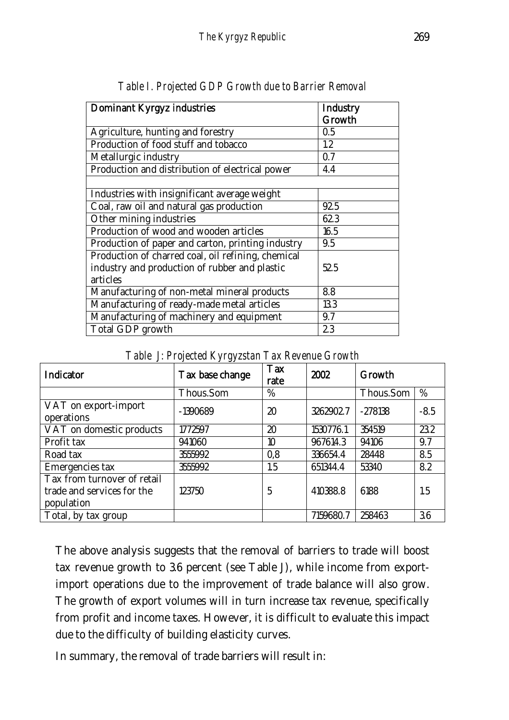| Dominant Kyrgyz industries                         | Industry |
|----------------------------------------------------|----------|
|                                                    | Growth   |
| Agriculture, hunting and forestry                  | 0.5      |
| Production of food stuff and tobacco               | 1.2      |
| Metallurgic industry                               | 0.7      |
| Production and distribution of electrical power    | 4.4      |
|                                                    |          |
| Industries with insignificant average weight       |          |
| Coal, raw oil and natural gas production           | 92.5     |
| Other mining industries                            | 62.3     |
| Production of wood and wooden articles             | 16.5     |
| Production of paper and carton, printing industry  | 9.5      |
| Production of charred coal, oil refining, chemical |          |
| industry and production of rubber and plastic      | 52.5     |
| articles                                           |          |
| Manufacturing of non-metal mineral products        | 8.8      |
| Manufacturing of ready-made metal articles         | 13.3     |
| Manufacturing of machinery and equipment           | 9.7      |
| Total GDP growth                                   | 2.3      |

| <b>Indicator</b><br>Tax base change |            | <b>Tax</b><br>rate | 2002      | Growth    |        |
|-------------------------------------|------------|--------------------|-----------|-----------|--------|
|                                     | Thous.Som  | %                  |           | Thous.Som | %      |
| VAT on export-import<br>operations  | $-1390689$ | 20                 | 3262902.7 | $-278138$ | $-8.5$ |
| VAT on domestic products            | 1772597    | 20                 | 1530776.1 | 354519    | 23.2   |
| Profit tax                          | 941060     | 10                 | 967614.3  | 94106     | 9.7    |
| Road tax                            | 3555992    | 0,8                | 336654.4  | 28448     | 8.5    |
| <b>Emergencies tax</b>              | 3555992    | 1.5                | 651344.4  | 53340     | 8.2    |
| Tax from turnover of retail         |            |                    |           |           |        |
| trade and services for the          | 123750     | 5                  | 410388.8  | 6188      | 1.5    |
| population                          |            |                    |           |           |        |
| Total, by tax group                 |            |                    | 7159680.7 | 258463    | 3.6    |

*Table J: Projected Kyrgyzstan Tax Revenue Growth* 

The above analysis suggests that the removal of barriers to trade will boost tax revenue growth to 3.6 percent (see Table J), while income from exportimport operations due to the improvement of trade balance will also grow. The growth of export volumes will in turn increase tax revenue, specifically from profit and income taxes. However, it is difficult to evaluate this impact due to the difficulty of building elasticity curves.

In summary, the removal of trade barriers will result in: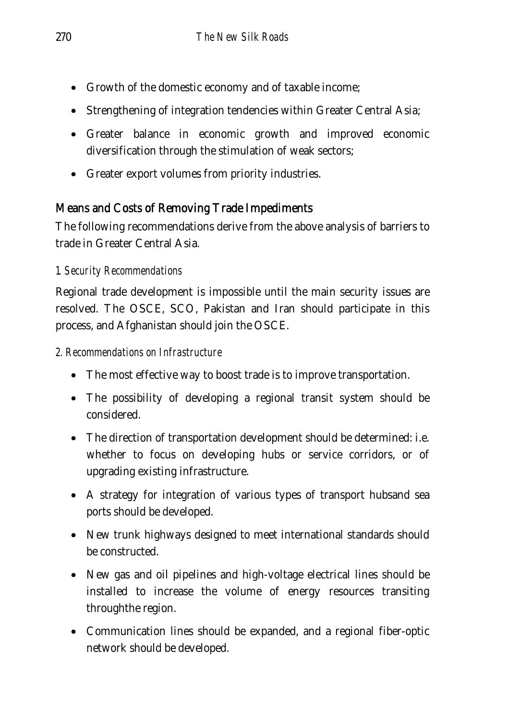- Growth of the domestic economy and of taxable income;
- Strengthening of integration tendencies within Greater Central Asia;
- Greater balance in economic growth and improved economic diversification through the stimulation of weak sectors;
- Greater export volumes from priority industries.

# Means and Costs of Removing Trade Impediments

The following recommendations derive from the above analysis of barriers to trade in Greater Central Asia.

#### *1. Security Recommendations*

Regional trade development is impossible until the main security issues are resolved. The OSCE, SCO, Pakistan and Iran should participate in this process, and Afghanistan should join the OSCE.

#### *2. Recommendations on Infrastructure*

- The most effective way to boost trade is to improve transportation.
- The possibility of developing a regional transit system should be considered.
- The direction of transportation development should be determined: i.e. whether to focus on developing hubs or service corridors, or of upgrading existing infrastructure.
- A strategy for integration of various types of transport hubsand sea ports should be developed.
- New trunk highways designed to meet international standards should be constructed.
- New gas and oil pipelines and high-voltage electrical lines should be installed to increase the volume of energy resources transiting throughthe region.
- Communication lines should be expanded, and a regional fiber-optic network should be developed.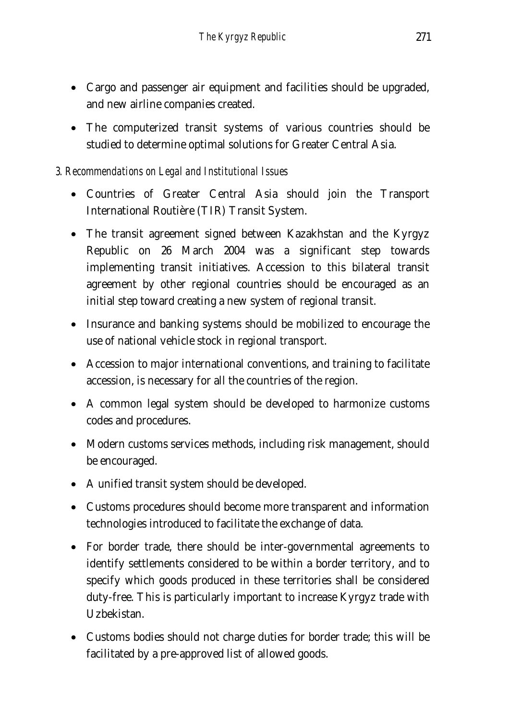- Cargo and passenger air equipment and facilities should be upgraded, and new airline companies created.
- The computerized transit systems of various countries should be studied to determine optimal solutions for Greater Central Asia.

#### *3. Recommendations on Legal and Institutional Issues*

- Countries of Greater Central Asia should join the Transport International Routière (TIR) Transit System.
- The transit agreement signed between Kazakhstan and the Kyrgyz Republic on 26 March 2004 was a significant step towards implementing transit initiatives. Accession to this bilateral transit agreement by other regional countries should be encouraged as an initial step toward creating a new system of regional transit.
- Insurance and banking systems should be mobilized to encourage the use of national vehicle stock in regional transport.
- Accession to major international conventions, and training to facilitate accession, is necessary for all the countries of the region.
- A common legal system should be developed to harmonize customs codes and procedures.
- Modern customs services methods, including risk management, should be encouraged.
- A unified transit system should be developed.
- Customs procedures should become more transparent and information technologies introduced to facilitate the exchange of data.
- For border trade, there should be inter-governmental agreements to identify settlements considered to be within a border territory, and to specify which goods produced in these territories shall be considered duty-free. This is particularly important to increase Kyrgyz trade with Uzbekistan.
- Customs bodies should not charge duties for border trade; this will be facilitated by a pre-approved list of allowed goods.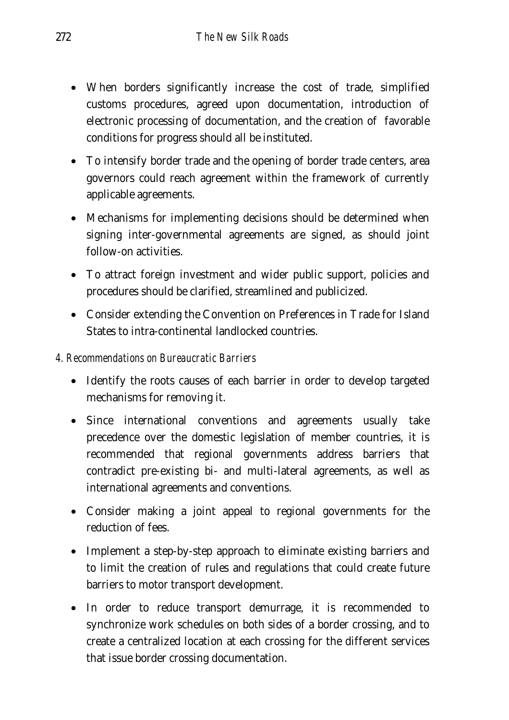- When borders significantly increase the cost of trade, simplified customs procedures, agreed upon documentation, introduction of electronic processing of documentation, and the creation of favorable conditions for progress should all be instituted.
- To intensify border trade and the opening of border trade centers, area governors could reach agreement within the framework of currently applicable agreements.
- Mechanisms for implementing decisions should be determined when signing inter-governmental agreements are signed, as should joint follow-on activities.
- To attract foreign investment and wider public support, policies and procedures should be clarified, streamlined and publicized.
- Consider extending the Convention on Preferences in Trade for Island States to intra-continental landlocked countries.
- *4. Recommendations on Bureaucratic Barriers* 
	- Identify the roots causes of each barrier in order to develop targeted mechanisms for removing it.
	- Since international conventions and agreements usually take precedence over the domestic legislation of member countries, it is recommended that regional governments address barriers that contradict pre-existing bi- and multi-lateral agreements, as well as international agreements and conventions.
	- Consider making a joint appeal to regional governments for the reduction of fees.
	- Implement a step-by-step approach to eliminate existing barriers and to limit the creation of rules and regulations that could create future barriers to motor transport development.
	- In order to reduce transport demurrage, it is recommended to synchronize work schedules on both sides of a border crossing, and to create a centralized location at each crossing for the different services that issue border crossing documentation.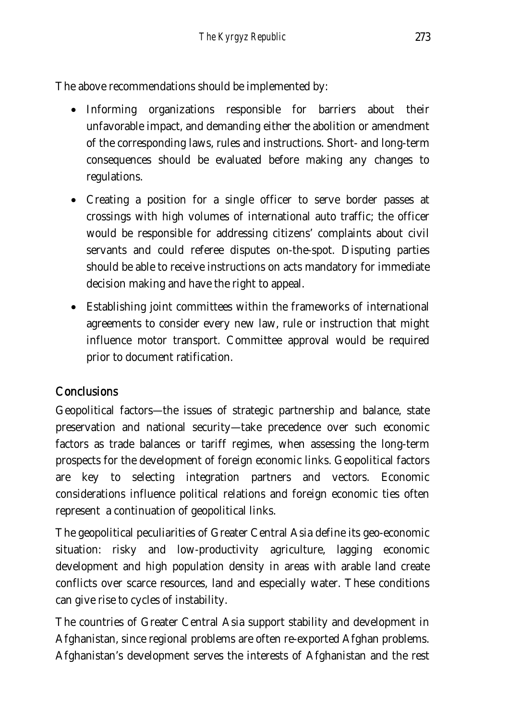The above recommendations should be implemented by:

- Informing organizations responsible for barriers about their unfavorable impact, and demanding either the abolition or amendment of the corresponding laws, rules and instructions. Short- and long-term consequences should be evaluated before making any changes to regulations.
- Creating a position for a single officer to serve border passes at crossings with high volumes of international auto traffic; the officer would be responsible for addressing citizens' complaints about civil servants and could referee disputes on-the-spot. Disputing parties should be able to receive instructions on acts mandatory for immediate decision making and have the right to appeal.
- Establishing joint committees within the frameworks of international agreements to consider every new law, rule or instruction that might influence motor transport. Committee approval would be required prior to document ratification.

# **Conclusions**

Geopolitical factors—the issues of strategic partnership and balance, state preservation and national security—take precedence over such economic factors as trade balances or tariff regimes, when assessing the long-term prospects for the development of foreign economic links. Geopolitical factors are key to selecting integration partners and vectors. Economic considerations influence political relations and foreign economic ties often represent a continuation of geopolitical links.

The geopolitical peculiarities of Greater Central Asia define its geo-economic situation: risky and low-productivity agriculture, lagging economic development and high population density in areas with arable land create conflicts over scarce resources, land and especially water. These conditions can give rise to cycles of instability.

The countries of Greater Central Asia support stability and development in Afghanistan, since regional problems are often re-exported Afghan problems. Afghanistan's development serves the interests of Afghanistan and the rest